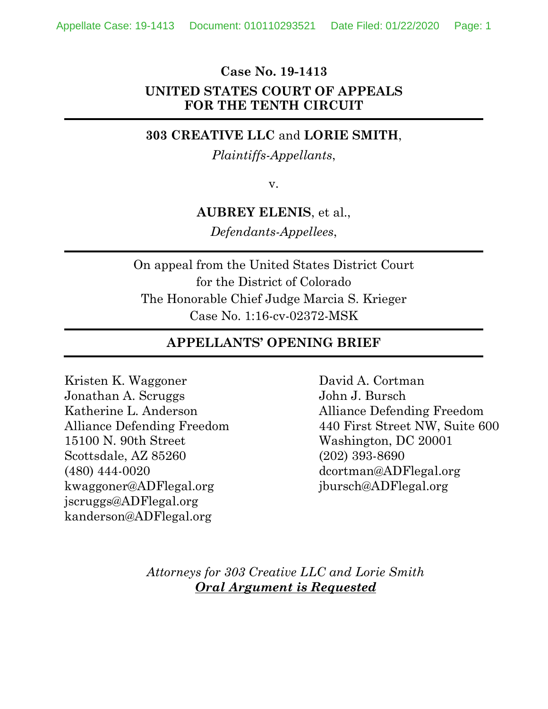## **Case No. 19-1413 UNITED STATES COURT OF APPEALS FOR THE TENTH CIRCUIT**

#### **303 CREATIVE LLC** and **LORIE SMITH**,

*Plaintiffs-Appellants*,

v.

### **AUBREY ELENIS**, et al.,

*Defendants-Appellees*,

On appeal from the United States District Court for the District of Colorado The Honorable Chief Judge Marcia S. Krieger Case No. 1:16-cv-02372-MSK

### **APPELLANTS' OPENING BRIEF**

Kristen K. Waggoner Jonathan A. Scruggs Katherine L. Anderson Alliance Defending Freedom 15100 N. 90th Street Scottsdale, AZ 85260 (480) 444-0020 kwaggoner@ADFlegal.org jscruggs@ADFlegal.org kanderson@ADFlegal.org

David A. Cortman John J. Bursch Alliance Defending Freedom 440 First Street NW, Suite 600 Washington, DC 20001 (202) 393-8690 dcortman@ADFlegal.org jbursch@ADFlegal.org

*Attorneys for 303 Creative LLC and Lorie Smith Oral Argument is Requested*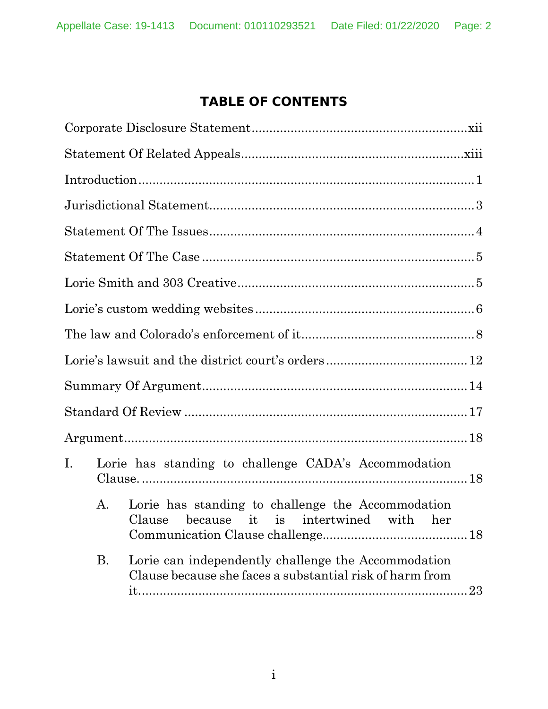# **TABLE OF CONTENTS**

| $\mathbf{I}$ . | Lorie has standing to challenge CADA's Accommodation |                                                                                                                 |    |  |
|----------------|------------------------------------------------------|-----------------------------------------------------------------------------------------------------------------|----|--|
|                | А.                                                   | Lorie has standing to challenge the Accommodation<br>Clause because it is intertwined with her                  |    |  |
|                | <b>B.</b>                                            | Lorie can independently challenge the Accommodation<br>Clause because she faces a substantial risk of harm from | 23 |  |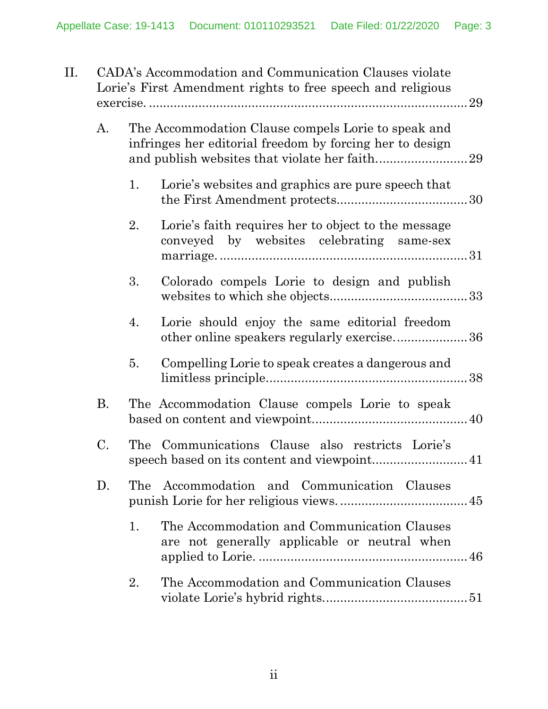| II. | CADA's Accommodation and Communication Clauses violate<br>Lorie's First Amendment rights to free speech and religious<br>29 |     |                                                                                                                 |  |  |
|-----|-----------------------------------------------------------------------------------------------------------------------------|-----|-----------------------------------------------------------------------------------------------------------------|--|--|
|     | A.                                                                                                                          |     | The Accommodation Clause compels Lorie to speak and<br>infringes her editorial freedom by forcing her to design |  |  |
|     |                                                                                                                             | 1.  | Lorie's websites and graphics are pure speech that                                                              |  |  |
|     |                                                                                                                             | 2.  | Lorie's faith requires her to object to the message<br>conveyed by websites celebrating same-sex                |  |  |
|     |                                                                                                                             | 3.  | Colorado compels Lorie to design and publish                                                                    |  |  |
|     |                                                                                                                             | 4.  | Lorie should enjoy the same editorial freedom<br>other online speakers regularly exercise36                     |  |  |
|     |                                                                                                                             | 5.  | Compelling Lorie to speak creates a dangerous and                                                               |  |  |
|     | <b>B.</b>                                                                                                                   |     | The Accommodation Clause compels Lorie to speak                                                                 |  |  |
|     | C.                                                                                                                          |     | The Communications Clause also restricts Lorie's                                                                |  |  |
|     | D.                                                                                                                          | The | Accommodation and Communication Clauses                                                                         |  |  |
|     |                                                                                                                             | 1.  | The Accommodation and Communication Clauses<br>are not generally applicable or neutral when                     |  |  |
|     |                                                                                                                             | 2.  | The Accommodation and Communication Clauses                                                                     |  |  |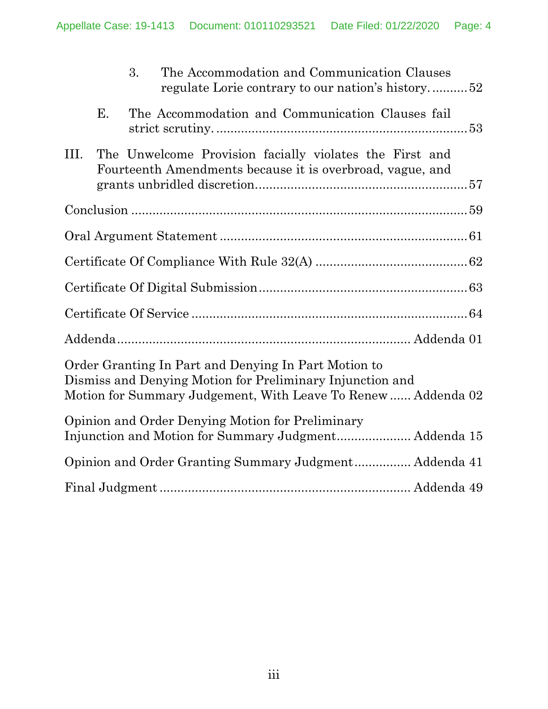|      |    | 3. | The Accommodation and Communication Clauses                                                                          | regulate Lorie contrary to our nation's history52            |
|------|----|----|----------------------------------------------------------------------------------------------------------------------|--------------------------------------------------------------|
|      | Ε. |    | The Accommodation and Communication Clauses fail                                                                     |                                                              |
| III. |    |    | The Unwelcome Provision facially violates the First and<br>Fourteenth Amendments because it is overbroad, vague, and |                                                              |
|      |    |    |                                                                                                                      |                                                              |
|      |    |    |                                                                                                                      |                                                              |
|      |    |    |                                                                                                                      |                                                              |
|      |    |    |                                                                                                                      |                                                              |
|      |    |    |                                                                                                                      |                                                              |
|      |    |    |                                                                                                                      |                                                              |
|      |    |    | Order Granting In Part and Denying In Part Motion to<br>Dismiss and Denying Motion for Preliminary Injunction and    | Motion for Summary Judgement, With Leave To Renew Addenda 02 |
|      |    |    | Opinion and Order Denying Motion for Preliminary                                                                     |                                                              |
|      |    |    |                                                                                                                      | Opinion and Order Granting Summary Judgment Addenda 41       |
|      |    |    |                                                                                                                      |                                                              |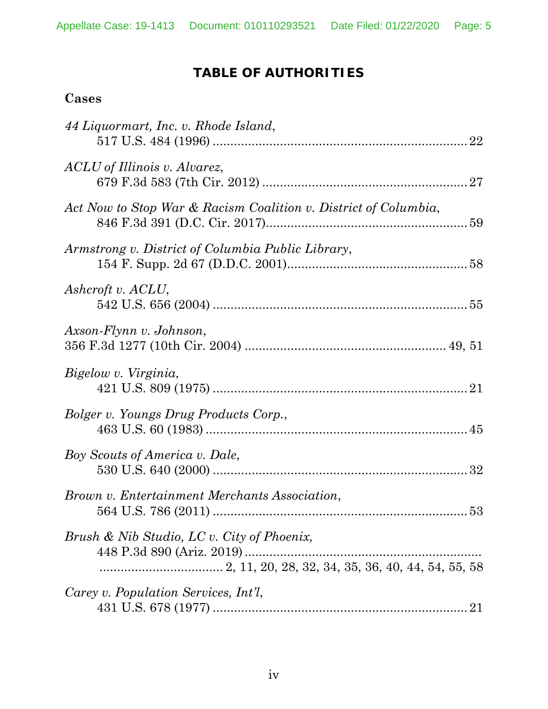## **TABLE OF AUTHORITIES**

## **Cases**

| 44 Liquormart, Inc. v. Rhode Island,                            |    |
|-----------------------------------------------------------------|----|
| ACLU of Illinois v. Alvarez,                                    |    |
| Act Now to Stop War & Racism Coalition v. District of Columbia, |    |
| Armstrong v. District of Columbia Public Library,               |    |
| Ashcroft v. ACLU,                                               |    |
| Axson-Flynn v. Johnson,                                         |    |
| Bigelow v. Virginia,                                            |    |
| Bolger v. Youngs Drug Products Corp.,                           |    |
| Boy Scouts of America v. Dale,                                  |    |
| Brown v. Entertainment Merchants Association,                   |    |
| Brush & Nib Studio, LC v. City of Phoenix,                      |    |
| Carey v. Population Services, Int'l,                            | 21 |
|                                                                 |    |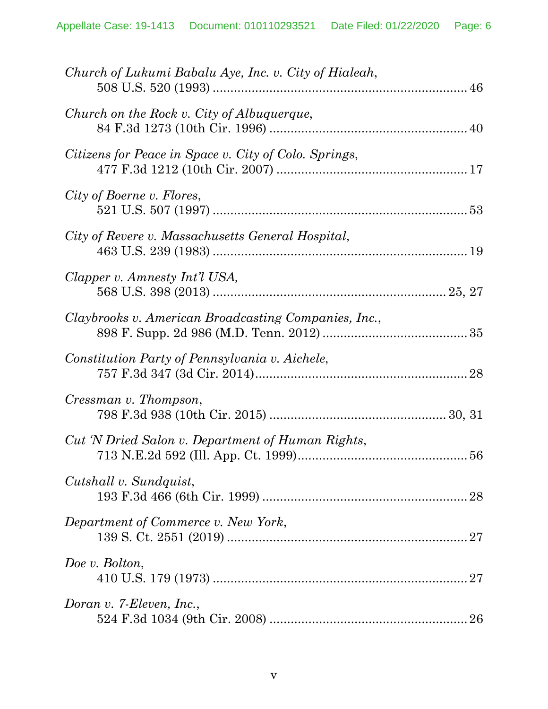| Church of Lukumi Babalu Aye, Inc. v. City of Hialeah, |
|-------------------------------------------------------|
| Church on the Rock v. City of Albuquerque,            |
| Citizens for Peace in Space v. City of Colo. Springs, |
| City of Boerne v. Flores,                             |
| City of Revere v. Massachusetts General Hospital,     |
| Clapper v. Amnesty Int'l USA,                         |
| Claybrooks v. American Broadcasting Companies, Inc.,  |
| Constitution Party of Pennsylvania v. Aichele,        |
| Cressman v. Thompson,                                 |
| Cut 'N Dried Salon v. Department of Human Rights,     |
| Cutshall v. Sundquist,                                |
| Department of Commerce v. New York,                   |
| Doe v. Bolton,                                        |
| Doran v. 7-Eleven, Inc.,                              |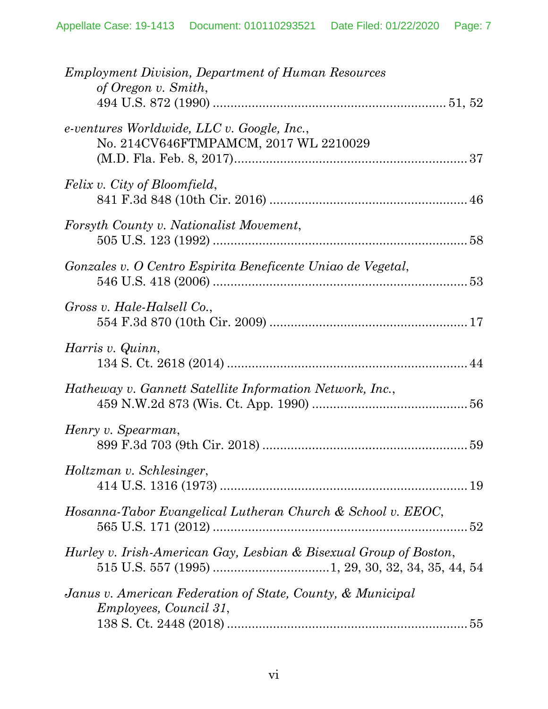| <b>Employment Division, Department of Human Resources</b><br>of Oregon v. Smith,            |
|---------------------------------------------------------------------------------------------|
| $e$ -ventures Worldwide, LLC v. Google, Inc.,<br>No. 214CV646FTMPAMCM, 2017 WL 2210029      |
| Felix v. City of Bloomfield,                                                                |
| Forsyth County v. Nationalist Movement,                                                     |
| Gonzales v. O Centro Espirita Beneficente Uniao de Vegetal,                                 |
| Gross v. Hale-Halsell Co.,                                                                  |
| Harris v. Quinn,                                                                            |
| Hatheway v. Gannett Satellite Information Network, Inc.,                                    |
| Henry v. Spearman,                                                                          |
| Holtzman v. Schlesinger,                                                                    |
| Hosanna-Tabor Evangelical Lutheran Church & School v. EEOC,<br>52                           |
| Hurley v. Irish-American Gay, Lesbian & Bisexual Group of Boston,                           |
| Janus v. American Federation of State, County, & Municipal<br><i>Employees, Council 31,</i> |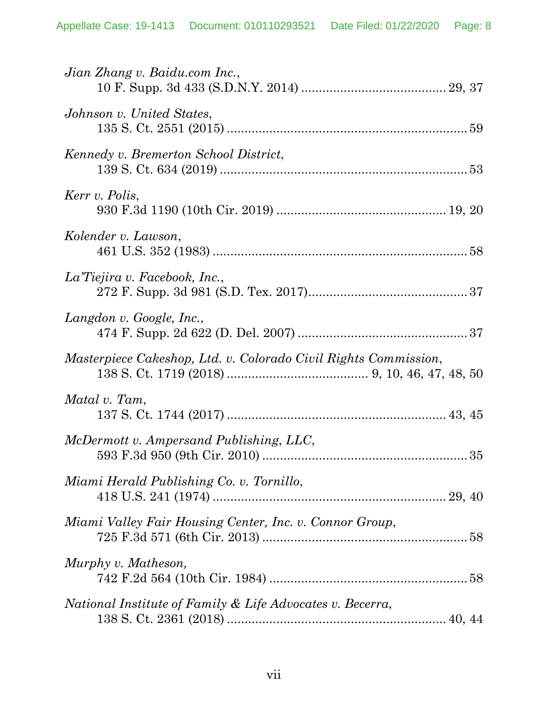| Jian Zhang v. Baidu.com Inc.,                                   |
|-----------------------------------------------------------------|
| Johnson v. United States,                                       |
| Kennedy v. Bremerton School District,                           |
| Kerr v. Polis,                                                  |
| Kolender v. Lawson,                                             |
| La Tiejira v. Facebook, Inc.,                                   |
| Langdon v. Google, Inc.,                                        |
| Masterpiece Cakeshop, Ltd. v. Colorado Civil Rights Commission, |
| Matal v. Tam,                                                   |
| McDermott v. Ampersand Publishing, LLC,                         |
| Miami Herald Publishing Co. v. Tornillo,                        |
| Miami Valley Fair Housing Center, Inc. v. Connor Group,         |
| Murphy v. Matheson,                                             |
| National Institute of Family & Life Advocates v. Becerra,       |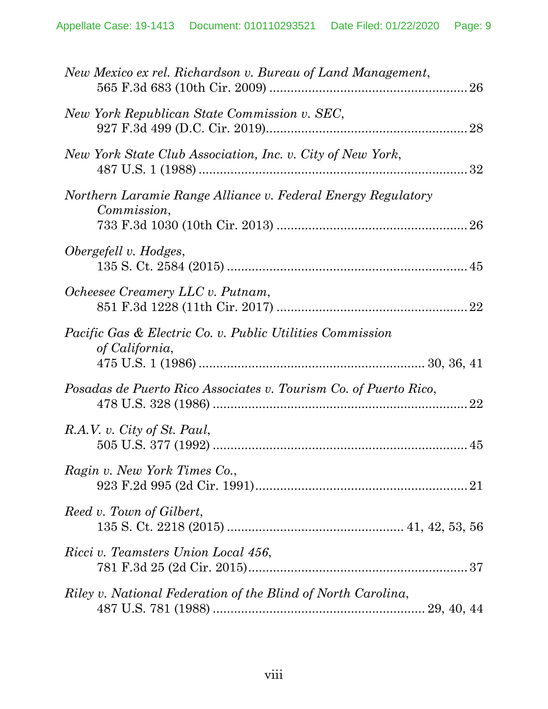| New Mexico ex rel. Richardson v. Bureau of Land Management,                            |  |
|----------------------------------------------------------------------------------------|--|
| New York Republican State Commission v. SEC,                                           |  |
| New York State Club Association, Inc. v. City of New York,                             |  |
| Northern Laramie Range Alliance v. Federal Energy Regulatory<br>Commission,            |  |
| Obergefell v. Hodges,                                                                  |  |
| Ocheesee Creamery LLC v. Putnam,                                                       |  |
| <i>Pacific Gas &amp; Electric Co. v. Public Utilities Commission</i><br>of California, |  |
| Posadas de Puerto Rico Associates v. Tourism Co. of Puerto Rico,                       |  |
| R.A.V. v. City of St. Paul,                                                            |  |
| Ragin v. New York Times Co.,                                                           |  |
| Reed v. Town of Gilbert,                                                               |  |
| Ricci v. Teamsters Union Local 456,                                                    |  |
| Riley v. National Federation of the Blind of North Carolina,                           |  |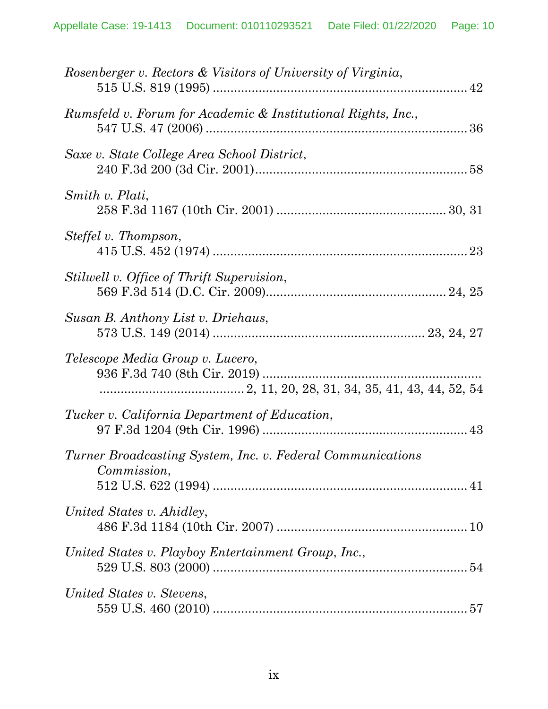| Rosenberger v. Rectors & Visitors of University of Virginia,              |
|---------------------------------------------------------------------------|
| Rumsfeld v. Forum for Academic & Institutional Rights, Inc.,              |
| Saxe v. State College Area School District,                               |
| Smith v. Plati,                                                           |
| Steffel v. Thompson,                                                      |
| Stilwell v. Office of Thrift Supervision,                                 |
| Susan B. Anthony List v. Driehaus,                                        |
| Telescope Media Group v. Lucero,                                          |
| <i>Tucker v. California Department of Education,</i>                      |
| Turner Broadcasting System, Inc. v. Federal Communications<br>Commission, |
| United States v. Ahidley,                                                 |
| United States v. Playboy Entertainment Group, Inc.,                       |
| United States v. Stevens,                                                 |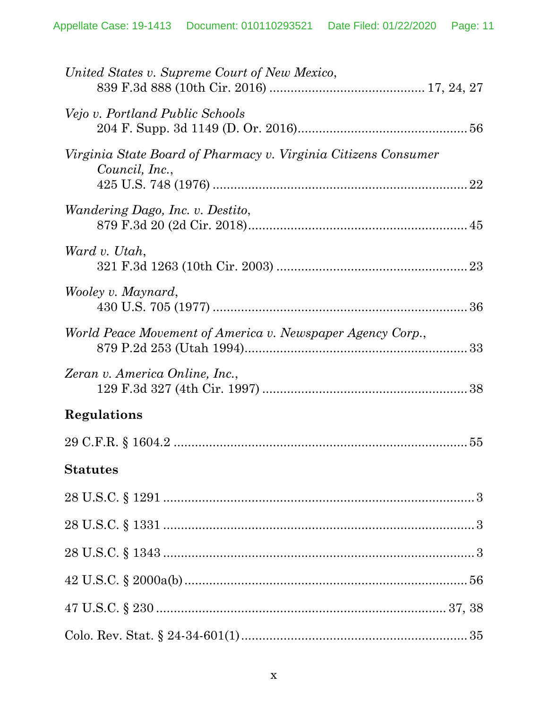| United States v. Supreme Court of New Mexico,                                    |
|----------------------------------------------------------------------------------|
| Vejo v. Portland Public Schools                                                  |
| Virginia State Board of Pharmacy v. Virginia Citizens Consumer<br>Council, Inc., |
| Wandering Dago, Inc. v. Destito,                                                 |
| Ward v. Utah,                                                                    |
| Wooley v. Maynard,                                                               |
| World Peace Movement of America v. Newspaper Agency Corp.,                       |
| Zeran v. America Online, Inc.,                                                   |
| Regulations                                                                      |
|                                                                                  |
| <b>Statutes</b>                                                                  |
|                                                                                  |
|                                                                                  |
|                                                                                  |
|                                                                                  |
|                                                                                  |
|                                                                                  |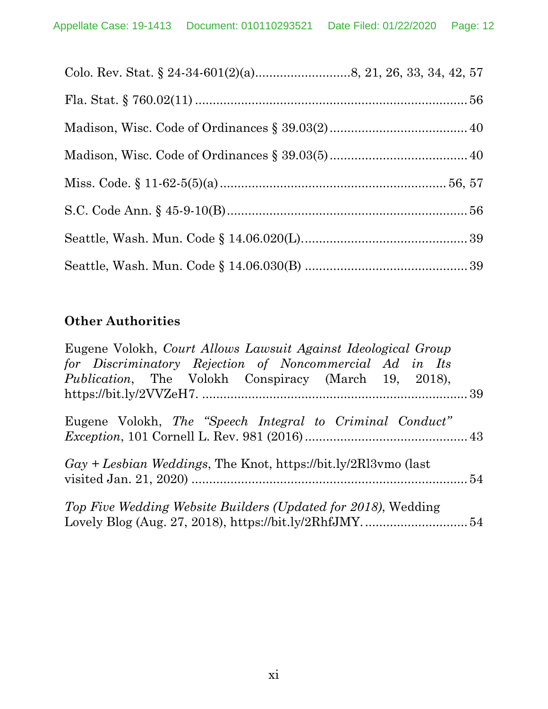## **Other Authorities**

| Eugene Volokh, Court Allows Lawsuit Against Ideological Group    |  |
|------------------------------------------------------------------|--|
| for Discriminatory Rejection of Noncommercial Ad in Its          |  |
| <i>Publication</i> , The Volokh Conspiracy (March 19, 2018),     |  |
|                                                                  |  |
| Eugene Volokh, The "Speech Integral to Criminal Conduct"         |  |
|                                                                  |  |
| $Gay + Lebbian$ Weddings, The Knot, https://bit.ly/2Rl3vmo (last |  |
|                                                                  |  |
| Top Five Wedding Website Builders (Updated for 2018), Wedding    |  |
|                                                                  |  |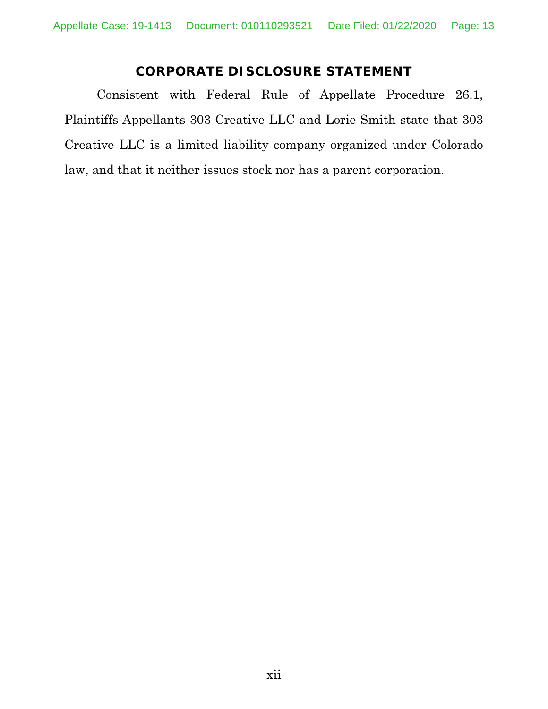## **CORPORATE DISCLOSURE STATEMENT**

Consistent with Federal Rule of Appellate Procedure 26.1, Plaintiffs-Appellants 303 Creative LLC and Lorie Smith state that 303 Creative LLC is a limited liability company organized under Colorado law, and that it neither issues stock nor has a parent corporation.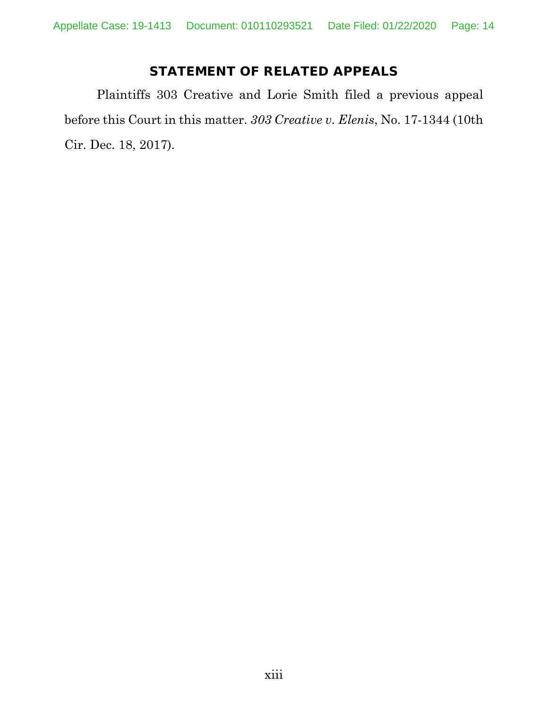## **STATEMENT OF RELATED APPEALS**

Plaintiffs 303 Creative and Lorie Smith filed a previous appeal before this Court in this matter. *303 Creative v. Elenis*, No. 17-1344 (10th Cir. Dec. 18, 2017).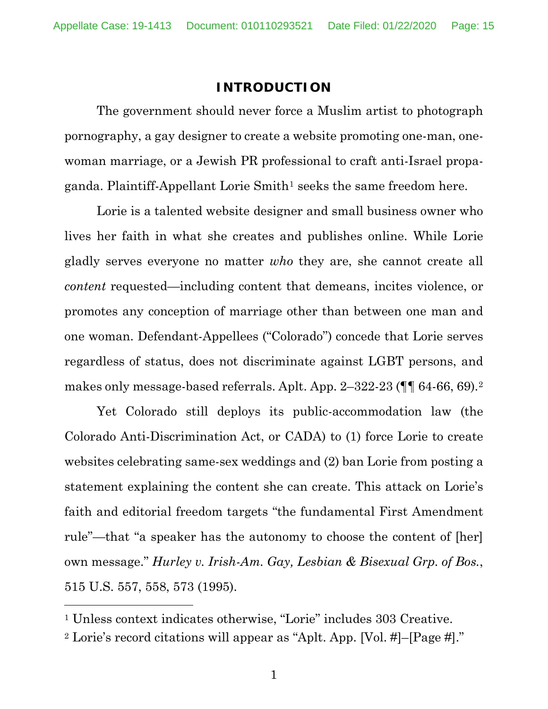#### **INTRODUCTION**

The government should never force a Muslim artist to photograph pornography, a gay designer to create a website promoting one-man, onewoman marriage, or a Jewish PR professional to craft anti-Israel propaganda. Plaintiff-Appellant Lorie Smith<sup>1</sup> seeks the same freedom here.

Lorie is a talented website designer and small business owner who lives her faith in what she creates and publishes online. While Lorie gladly serves everyone no matter *who* they are, she cannot create all *content* requested—including content that demeans, incites violence, or promotes any conception of marriage other than between one man and one woman. Defendant-Appellees ("Colorado") concede that Lorie serves regardless of status, does not discriminate against LGBT persons, and makes only message-based referrals. Aplt. App. 2–322-23 (¶¶ 64-66, 69).2

Yet Colorado still deploys its public-accommodation law (the Colorado Anti-Discrimination Act, or CADA) to (1) force Lorie to create websites celebrating same-sex weddings and (2) ban Lorie from posting a statement explaining the content she can create. This attack on Lorie's faith and editorial freedom targets "the fundamental First Amendment rule"—that "a speaker has the autonomy to choose the content of [her] own message." *Hurley v. Irish-Am. Gay, Lesbian & Bisexual Grp. of Bos.*, 515 U.S. 557, 558, 573 (1995).

<sup>1</sup> Unless context indicates otherwise, "Lorie" includes 303 Creative.

<sup>2</sup> Lorie's record citations will appear as "Aplt. App. [Vol. #]–[Page #]."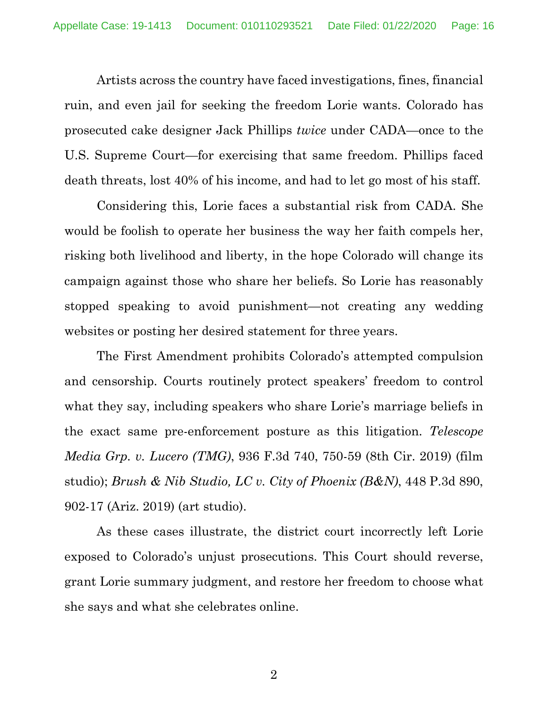Artists across the country have faced investigations, fines, financial ruin, and even jail for seeking the freedom Lorie wants. Colorado has prosecuted cake designer Jack Phillips *twice* under CADA—once to the U.S. Supreme Court—for exercising that same freedom. Phillips faced death threats, lost 40% of his income, and had to let go most of his staff.

Considering this, Lorie faces a substantial risk from CADA. She would be foolish to operate her business the way her faith compels her, risking both livelihood and liberty, in the hope Colorado will change its campaign against those who share her beliefs. So Lorie has reasonably stopped speaking to avoid punishment—not creating any wedding websites or posting her desired statement for three years.

The First Amendment prohibits Colorado's attempted compulsion and censorship. Courts routinely protect speakers' freedom to control what they say, including speakers who share Lorie's marriage beliefs in the exact same pre-enforcement posture as this litigation. *Telescope Media Grp. v. Lucero (TMG)*, 936 F.3d 740, 750-59 (8th Cir. 2019) (film studio); *Brush & Nib Studio, LC v. City of Phoenix (B&N)*, 448 P.3d 890, 902-17 (Ariz. 2019) (art studio).

As these cases illustrate, the district court incorrectly left Lorie exposed to Colorado's unjust prosecutions. This Court should reverse, grant Lorie summary judgment, and restore her freedom to choose what she says and what she celebrates online.

2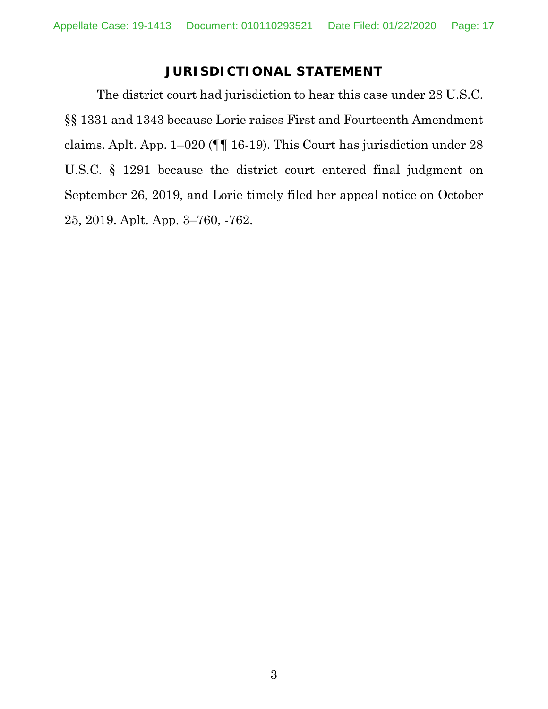## **JURISDICTIONAL STATEMENT**

The district court had jurisdiction to hear this case under 28 U.S.C. §§ 1331 and 1343 because Lorie raises First and Fourteenth Amendment claims. Aplt. App. 1–020 (¶¶ 16-19). This Court has jurisdiction under 28 U.S.C. § 1291 because the district court entered final judgment on September 26, 2019, and Lorie timely filed her appeal notice on October 25, 2019. Aplt. App. 3–760, -762.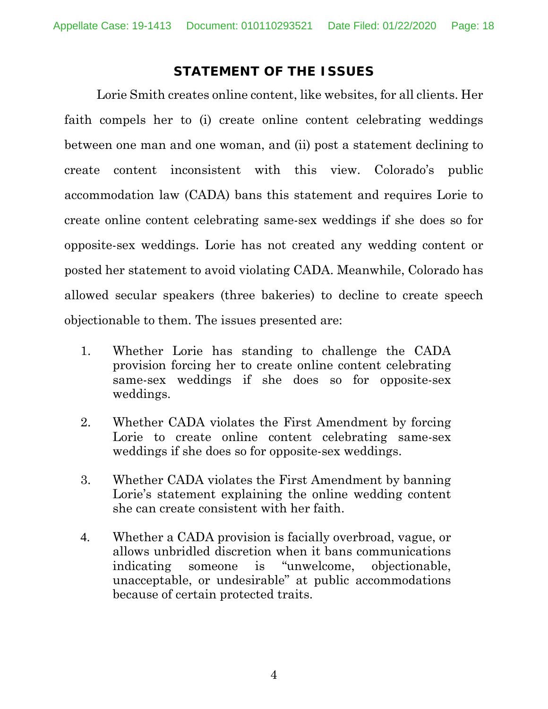### **STATEMENT OF THE ISSUES**

Lorie Smith creates online content, like websites, for all clients. Her faith compels her to (i) create online content celebrating weddings between one man and one woman, and (ii) post a statement declining to create content inconsistent with this view. Colorado's public accommodation law (CADA) bans this statement and requires Lorie to create online content celebrating same-sex weddings if she does so for opposite-sex weddings. Lorie has not created any wedding content or posted her statement to avoid violating CADA. Meanwhile, Colorado has allowed secular speakers (three bakeries) to decline to create speech objectionable to them. The issues presented are:

- 1. Whether Lorie has standing to challenge the CADA provision forcing her to create online content celebrating same-sex weddings if she does so for opposite-sex weddings.
- 2. Whether CADA violates the First Amendment by forcing Lorie to create online content celebrating same-sex weddings if she does so for opposite-sex weddings.
- 3. Whether CADA violates the First Amendment by banning Lorie's statement explaining the online wedding content she can create consistent with her faith.
- 4. Whether a CADA provision is facially overbroad, vague, or allows unbridled discretion when it bans communications indicating someone is "unwelcome, objectionable, unacceptable, or undesirable" at public accommodations because of certain protected traits.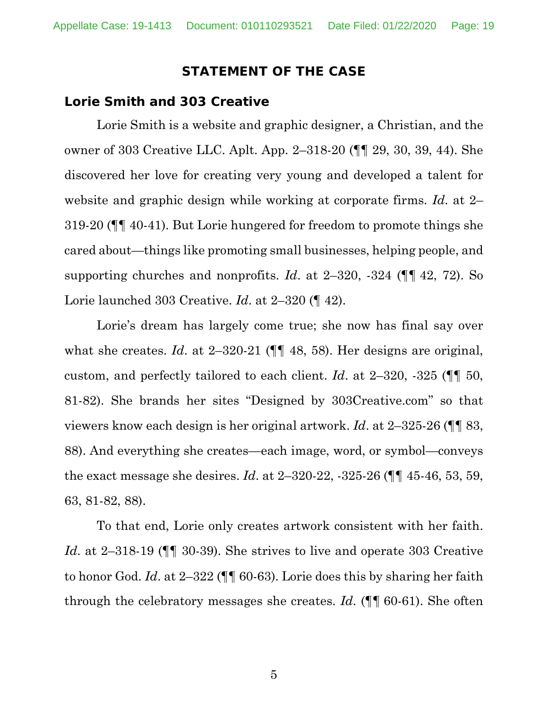#### **STATEMENT OF THE CASE**

#### **Lorie Smith and 303 Creative**

Lorie Smith is a website and graphic designer, a Christian, and the owner of 303 Creative LLC. Aplt. App. 2–318-20 (¶¶ 29, 30, 39, 44). She discovered her love for creating very young and developed a talent for website and graphic design while working at corporate firms. *Id*. at 2– 319-20 (¶¶ 40-41). But Lorie hungered for freedom to promote things she cared about—things like promoting small businesses, helping people, and supporting churches and nonprofits. *Id*. at 2–320, -324 (¶¶ 42, 72). So Lorie launched 303 Creative. *Id*. at 2–320 (¶ 42).

Lorie's dream has largely come true; she now has final say over what she creates. *Id.* at 2–320-21 ( $\P$  48, 58). Her designs are original, custom, and perfectly tailored to each client. *Id*. at 2–320, -325 (¶¶ 50, 81-82). She brands her sites "Designed by 303Creative.com" so that viewers know each design is her original artwork. *Id*. at 2–325-26 (¶¶ 83, 88). And everything she creates—each image, word, or symbol—conveys the exact message she desires. *Id*. at 2–320-22, -325-26 (¶¶ 45-46, 53, 59, 63, 81-82, 88).

To that end, Lorie only creates artwork consistent with her faith. *Id*. at 2–318-19 (¶¶ 30-39). She strives to live and operate 303 Creative to honor God. *Id*. at 2–322 (¶¶ 60-63). Lorie does this by sharing her faith through the celebratory messages she creates. *Id*. (¶¶ 60-61). She often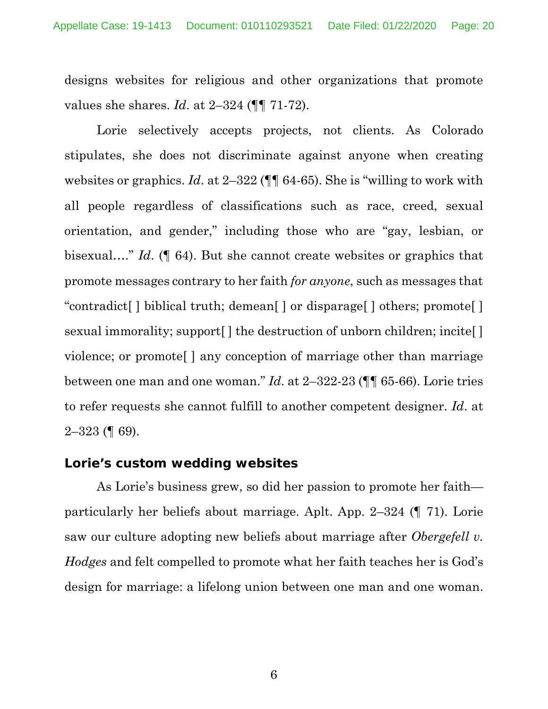designs websites for religious and other organizations that promote values she shares. *Id*. at 2–324 (¶¶ 71-72).

Lorie selectively accepts projects, not clients. As Colorado stipulates, she does not discriminate against anyone when creating websites or graphics. *Id*. at 2–322 (¶¶ 64-65). She is "willing to work with all people regardless of classifications such as race, creed, sexual orientation, and gender," including those who are "gay, lesbian, or bisexual…." *Id*. (¶ 64). But she cannot create websites or graphics that promote messages contrary to her faith *for anyone*, such as messages that "contradict[ ] biblical truth; demean[ ] or disparage[ ] others; promote[ ] sexual immorality; support [] the destruction of unborn children; incite [] violence; or promote[ ] any conception of marriage other than marriage between one man and one woman." *Id*. at 2–322-23 (¶¶ 65-66). Lorie tries to refer requests she cannot fulfill to another competent designer. *Id*. at 2–323 (¶ 69).

#### **Lorie's custom wedding websites**

As Lorie's business grew, so did her passion to promote her faith particularly her beliefs about marriage. Aplt. App. 2–324 (¶ 71). Lorie saw our culture adopting new beliefs about marriage after *Obergefell v. Hodges* and felt compelled to promote what her faith teaches her is God's design for marriage: a lifelong union between one man and one woman.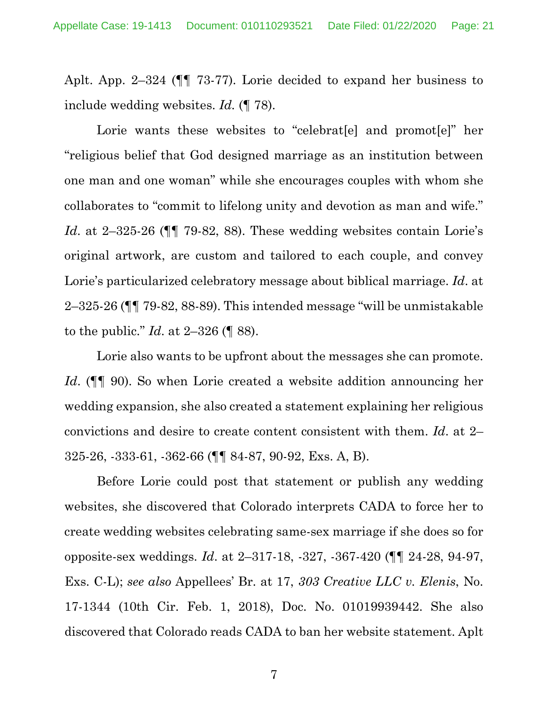Aplt. App. 2–324 (¶¶ 73-77). Lorie decided to expand her business to include wedding websites. *Id.* (¶ 78).

Lorie wants these websites to "celebrat<sup>[e]</sup> and promot<sup>[e]"</sup> her "religious belief that God designed marriage as an institution between one man and one woman" while she encourages couples with whom she collaborates to "commit to lifelong unity and devotion as man and wife." *Id*. at 2–325-26 (¶¶ 79-82, 88). These wedding websites contain Lorie's original artwork, are custom and tailored to each couple, and convey Lorie's particularized celebratory message about biblical marriage. *Id*. at 2–325-26 (¶¶ 79-82, 88-89). This intended message "will be unmistakable to the public." *Id*. at 2–326 (¶ 88).

Lorie also wants to be upfront about the messages she can promote. *Id.* ( $\P$  90). So when Lorie created a website addition announcing her wedding expansion, she also created a statement explaining her religious convictions and desire to create content consistent with them. *Id*. at 2– 325-26, -333-61, -362-66 (¶¶ 84-87, 90-92, Exs. A, B).

Before Lorie could post that statement or publish any wedding websites, she discovered that Colorado interprets CADA to force her to create wedding websites celebrating same-sex marriage if she does so for opposite-sex weddings. *Id*. at 2–317-18, -327, -367-420 (¶¶ 24-28, 94-97, Exs. C-L); *see also* Appellees' Br. at 17, *303 Creative LLC v. Elenis*, No. 17-1344 (10th Cir. Feb. 1, 2018), Doc. No. 01019939442. She also discovered that Colorado reads CADA to ban her website statement. Aplt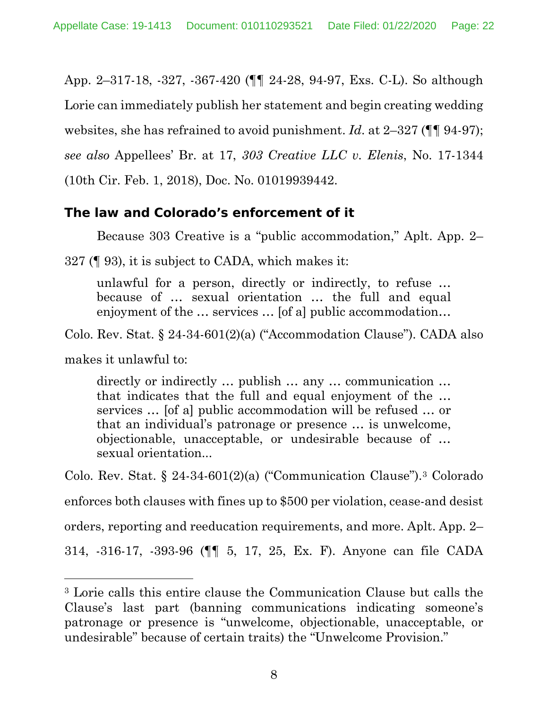App. 2–317-18, -327, -367-420 (¶¶ 24-28, 94-97, Exs. C-L). So although Lorie can immediately publish her statement and begin creating wedding websites, she has refrained to avoid punishment. *Id.* at 2–327 ( $\P$ ] 94-97); *see also* Appellees' Br. at 17, *303 Creative LLC v. Elenis*, No. 17-1344 (10th Cir. Feb. 1, 2018), Doc. No. 01019939442.

### **The law and Colorado's enforcement of it**

Because 303 Creative is a "public accommodation," Aplt. App. 2–

327 (¶ 93), it is subject to CADA, which makes it:

unlawful for a person, directly or indirectly, to refuse … because of … sexual orientation … the full and equal enjoyment of the … services … [of a] public accommodation…

Colo. Rev. Stat. § 24-34-601(2)(a) ("Accommodation Clause"). CADA also

makes it unlawful to:

directly or indirectly … publish … any … communication … that indicates that the full and equal enjoyment of the … services … [of a] public accommodation will be refused … or that an individual's patronage or presence … is unwelcome, objectionable, unacceptable, or undesirable because of … sexual orientation...

Colo. Rev. Stat. § 24-34-601(2)(a) ("Communication Clause").3 Colorado enforces both clauses with fines up to \$500 per violation, cease-and desist orders, reporting and reeducation requirements, and more. Aplt. App. 2– 314, -316-17, -393-96 (¶¶ 5, 17, 25, Ex. F). Anyone can file CADA

<sup>3</sup> Lorie calls this entire clause the Communication Clause but calls the Clause's last part (banning communications indicating someone's patronage or presence is "unwelcome, objectionable, unacceptable, or undesirable" because of certain traits) the "Unwelcome Provision."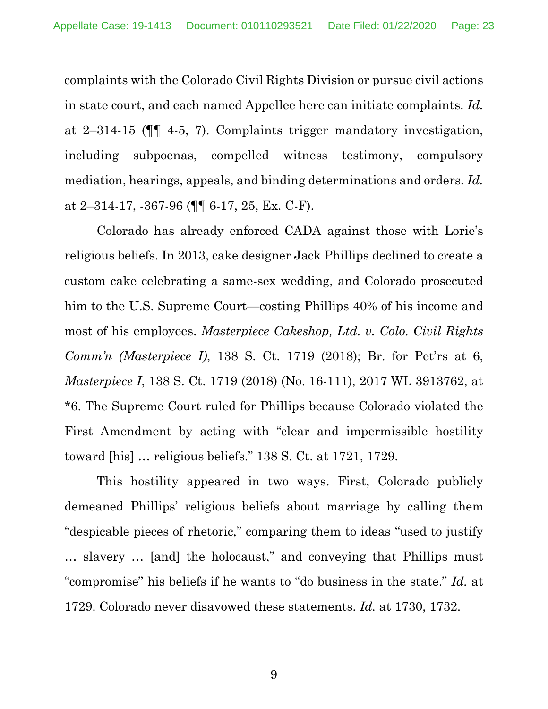complaints with the Colorado Civil Rights Division or pursue civil actions in state court, and each named Appellee here can initiate complaints. *Id.* at 2–314-15 (¶¶ 4-5, 7). Complaints trigger mandatory investigation, including subpoenas, compelled witness testimony, compulsory mediation, hearings, appeals, and binding determinations and orders. *Id.* at 2–314-17, -367-96 ( $\P\P$  6-17, 25, Ex. C-F).

Colorado has already enforced CADA against those with Lorie's religious beliefs. In 2013, cake designer Jack Phillips declined to create a custom cake celebrating a same-sex wedding, and Colorado prosecuted him to the U.S. Supreme Court—costing Phillips 40% of his income and most of his employees. *Masterpiece Cakeshop, Ltd. v. Colo. Civil Rights Comm'n (Masterpiece I)*, 138 S. Ct. 1719 (2018); Br. for Pet'rs at 6, *Masterpiece I*, 138 S. Ct. 1719 (2018) (No. 16-111), 2017 WL 3913762, at \*6. The Supreme Court ruled for Phillips because Colorado violated the First Amendment by acting with "clear and impermissible hostility toward [his] … religious beliefs." 138 S. Ct. at 1721, 1729.

This hostility appeared in two ways. First, Colorado publicly demeaned Phillips' religious beliefs about marriage by calling them "despicable pieces of rhetoric," comparing them to ideas "used to justify … slavery … [and] the holocaust," and conveying that Phillips must "compromise" his beliefs if he wants to "do business in the state." *Id.* at 1729. Colorado never disavowed these statements. *Id.* at 1730, 1732.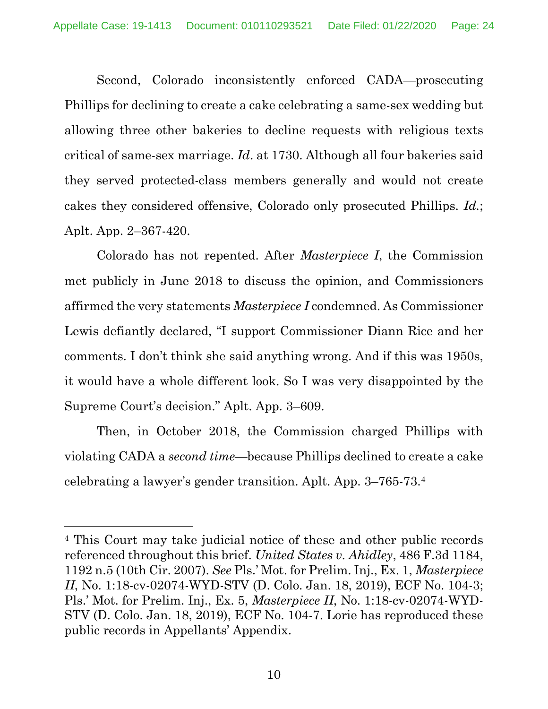Second, Colorado inconsistently enforced CADA—prosecuting Phillips for declining to create a cake celebrating a same-sex wedding but allowing three other bakeries to decline requests with religious texts critical of same-sex marriage. *Id*. at 1730. Although all four bakeries said they served protected-class members generally and would not create cakes they considered offensive, Colorado only prosecuted Phillips. *Id.*; Aplt. App. 2–367-420.

Colorado has not repented. After *Masterpiece I*, the Commission met publicly in June 2018 to discuss the opinion, and Commissioners affirmed the very statements *Masterpiece I* condemned. As Commissioner Lewis defiantly declared, "I support Commissioner Diann Rice and her comments. I don't think she said anything wrong. And if this was 1950s, it would have a whole different look. So I was very disappointed by the Supreme Court's decision." Aplt. App. 3–609.

Then, in October 2018, the Commission charged Phillips with violating CADA a *second time*—because Phillips declined to create a cake celebrating a lawyer's gender transition. Aplt. App. 3–765-73.4

<sup>4</sup> This Court may take judicial notice of these and other public records referenced throughout this brief. *United States v. Ahidley*, 486 F.3d 1184, 1192 n.5 (10th Cir. 2007). *See* Pls.' Mot. for Prelim. Inj., Ex. 1, *Masterpiece II*, No. 1:18-cv-02074-WYD-STV (D. Colo. Jan. 18, 2019), ECF No. 104-3; Pls.' Mot. for Prelim. Inj., Ex. 5, *Masterpiece II*, No. 1:18-cv-02074-WYD-STV (D. Colo. Jan. 18, 2019), ECF No. 104-7. Lorie has reproduced these public records in Appellants' Appendix.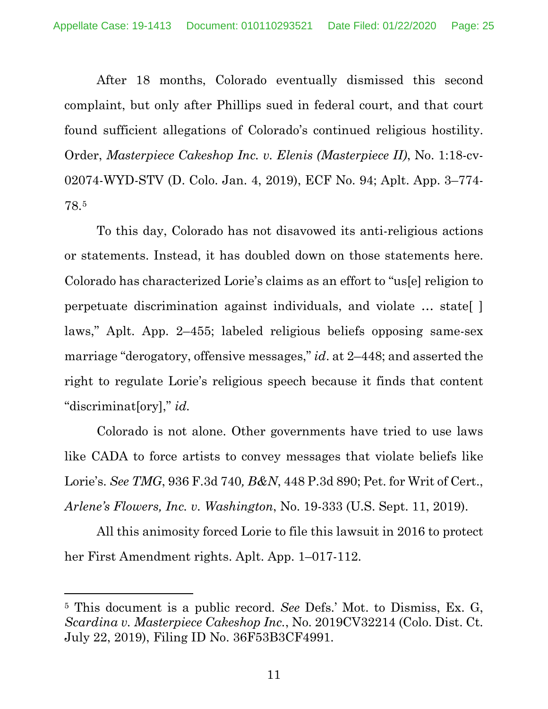After 18 months, Colorado eventually dismissed this second complaint, but only after Phillips sued in federal court, and that court found sufficient allegations of Colorado's continued religious hostility. Order, *Masterpiece Cakeshop Inc. v. Elenis (Masterpiece II)*, No. 1:18-cv-02074-WYD-STV (D. Colo. Jan. 4, 2019), ECF No. 94; Aplt. App. 3–774- 78.5

To this day, Colorado has not disavowed its anti-religious actions or statements. Instead, it has doubled down on those statements here. Colorado has characterized Lorie's claims as an effort to "us[e] religion to perpetuate discrimination against individuals, and violate … state[ ] laws," Aplt. App. 2–455; labeled religious beliefs opposing same-sex marriage "derogatory, offensive messages," *id*. at 2–448; and asserted the right to regulate Lorie's religious speech because it finds that content "discriminat[ory]," *id.*

Colorado is not alone. Other governments have tried to use laws like CADA to force artists to convey messages that violate beliefs like Lorie's. *See TMG*, 936 F.3d 740*, B&N*, 448 P.3d 890; Pet. for Writ of Cert., *Arlene's Flowers, Inc. v. Washington*, No. 19-333 (U.S. Sept. 11, 2019).

All this animosity forced Lorie to file this lawsuit in 2016 to protect her First Amendment rights. Aplt. App. 1–017-112.

<sup>5</sup> This document is a public record. *See* Defs.' Mot. to Dismiss, Ex. G, *Scardina v. Masterpiece Cakeshop Inc.*, No. 2019CV32214 (Colo. Dist. Ct. July 22, 2019), Filing ID No. 36F53B3CF4991.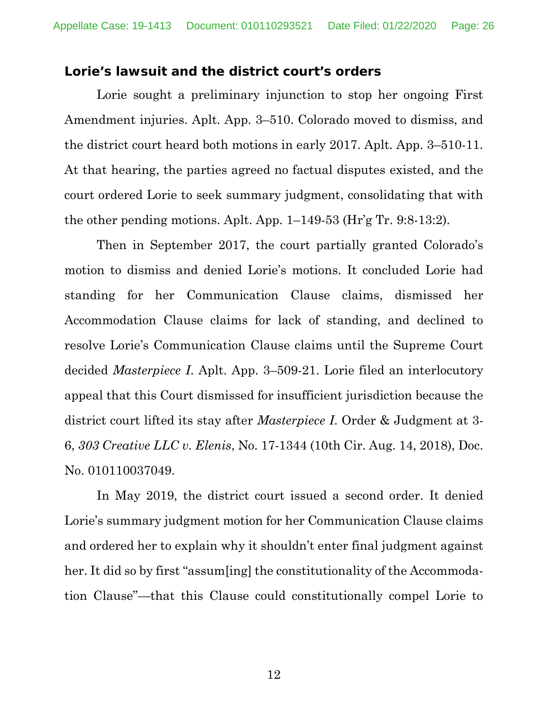#### **Lorie's lawsuit and the district court's orders**

Lorie sought a preliminary injunction to stop her ongoing First Amendment injuries. Aplt. App. 3–510. Colorado moved to dismiss, and the district court heard both motions in early 2017. Aplt. App. 3–510-11. At that hearing, the parties agreed no factual disputes existed, and the court ordered Lorie to seek summary judgment, consolidating that with the other pending motions. Aplt. App. 1–149-53 (Hr'g Tr. 9:8-13:2).

Then in September 2017, the court partially granted Colorado's motion to dismiss and denied Lorie's motions. It concluded Lorie had standing for her Communication Clause claims, dismissed her Accommodation Clause claims for lack of standing, and declined to resolve Lorie's Communication Clause claims until the Supreme Court decided *Masterpiece I*. Aplt. App. 3–509-21. Lorie filed an interlocutory appeal that this Court dismissed for insufficient jurisdiction because the district court lifted its stay after *Masterpiece I*. Order & Judgment at 3- 6, *303 Creative LLC v. Elenis*, No. 17-1344 (10th Cir. Aug. 14, 2018), Doc. No. 010110037049.

In May 2019, the district court issued a second order. It denied Lorie's summary judgment motion for her Communication Clause claims and ordered her to explain why it shouldn't enter final judgment against her. It did so by first "assum[ing] the constitutionality of the Accommodation Clause"—that this Clause could constitutionally compel Lorie to

12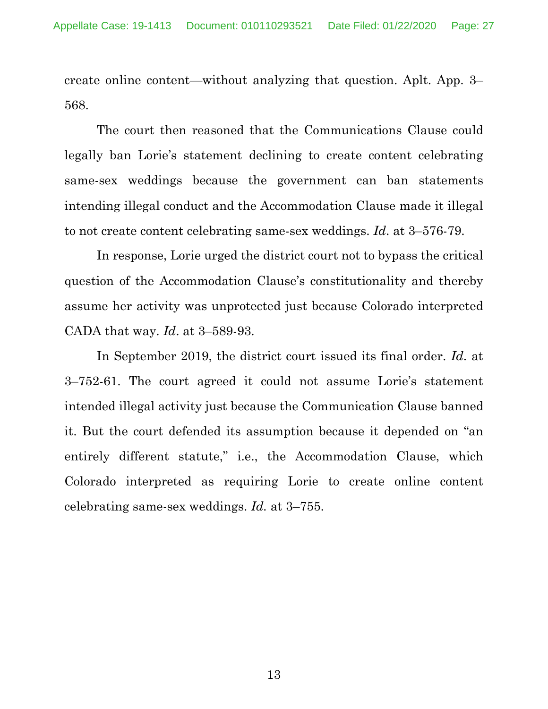create online content—without analyzing that question. Aplt. App. 3– 568.

The court then reasoned that the Communications Clause could legally ban Lorie's statement declining to create content celebrating same-sex weddings because the government can ban statements intending illegal conduct and the Accommodation Clause made it illegal to not create content celebrating same-sex weddings. *Id*. at 3–576-79.

In response, Lorie urged the district court not to bypass the critical question of the Accommodation Clause's constitutionality and thereby assume her activity was unprotected just because Colorado interpreted CADA that way. *Id*. at 3–589-93.

In September 2019, the district court issued its final order. *Id*. at 3–752-61. The court agreed it could not assume Lorie's statement intended illegal activity just because the Communication Clause banned it. But the court defended its assumption because it depended on "an entirely different statute," i.e., the Accommodation Clause, which Colorado interpreted as requiring Lorie to create online content celebrating same-sex weddings. *Id.* at 3–755.

13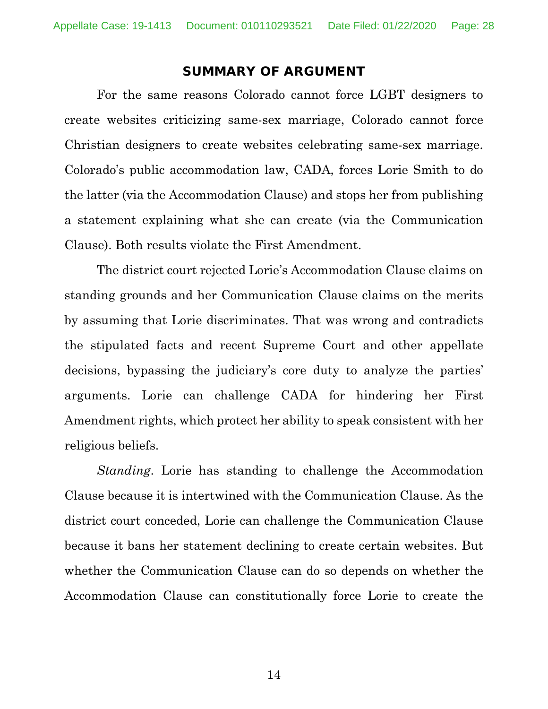#### **SUMMARY OF ARGUMENT**

For the same reasons Colorado cannot force LGBT designers to create websites criticizing same-sex marriage, Colorado cannot force Christian designers to create websites celebrating same-sex marriage. Colorado's public accommodation law, CADA, forces Lorie Smith to do the latter (via the Accommodation Clause) and stops her from publishing a statement explaining what she can create (via the Communication Clause). Both results violate the First Amendment.

The district court rejected Lorie's Accommodation Clause claims on standing grounds and her Communication Clause claims on the merits by assuming that Lorie discriminates. That was wrong and contradicts the stipulated facts and recent Supreme Court and other appellate decisions, bypassing the judiciary's core duty to analyze the parties' arguments. Lorie can challenge CADA for hindering her First Amendment rights, which protect her ability to speak consistent with her religious beliefs.

*Standing*. Lorie has standing to challenge the Accommodation Clause because it is intertwined with the Communication Clause. As the district court conceded, Lorie can challenge the Communication Clause because it bans her statement declining to create certain websites. But whether the Communication Clause can do so depends on whether the Accommodation Clause can constitutionally force Lorie to create the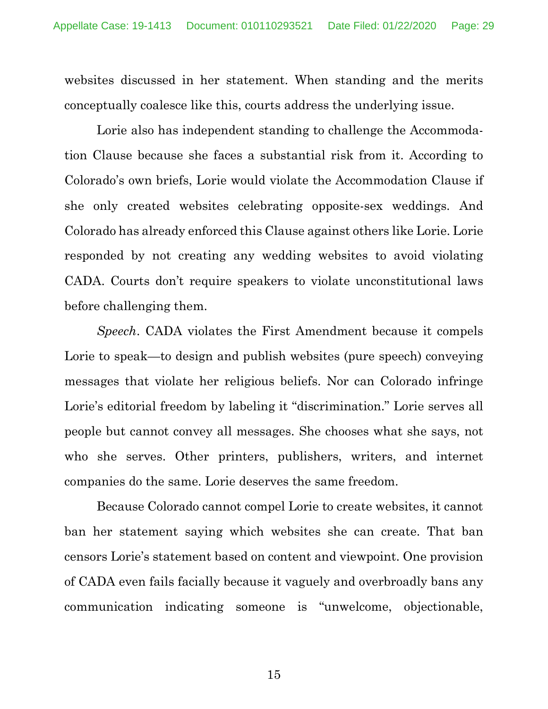websites discussed in her statement. When standing and the merits conceptually coalesce like this, courts address the underlying issue.

Lorie also has independent standing to challenge the Accommodation Clause because she faces a substantial risk from it. According to Colorado's own briefs, Lorie would violate the Accommodation Clause if she only created websites celebrating opposite-sex weddings. And Colorado has already enforced this Clause against others like Lorie. Lorie responded by not creating any wedding websites to avoid violating CADA. Courts don't require speakers to violate unconstitutional laws before challenging them.

*Speech*. CADA violates the First Amendment because it compels Lorie to speak—to design and publish websites (pure speech) conveying messages that violate her religious beliefs. Nor can Colorado infringe Lorie's editorial freedom by labeling it "discrimination." Lorie serves all people but cannot convey all messages. She chooses what she says, not who she serves. Other printers, publishers, writers, and internet companies do the same. Lorie deserves the same freedom.

Because Colorado cannot compel Lorie to create websites, it cannot ban her statement saying which websites she can create. That ban censors Lorie's statement based on content and viewpoint. One provision of CADA even fails facially because it vaguely and overbroadly bans any communication indicating someone is "unwelcome, objectionable,

15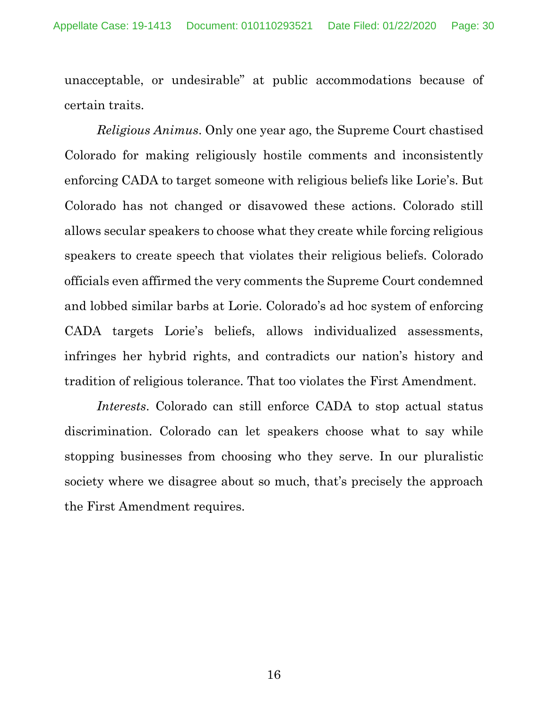unacceptable, or undesirable" at public accommodations because of certain traits.

*Religious Animus*. Only one year ago, the Supreme Court chastised Colorado for making religiously hostile comments and inconsistently enforcing CADA to target someone with religious beliefs like Lorie's. But Colorado has not changed or disavowed these actions. Colorado still allows secular speakers to choose what they create while forcing religious speakers to create speech that violates their religious beliefs. Colorado officials even affirmed the very comments the Supreme Court condemned and lobbed similar barbs at Lorie. Colorado's ad hoc system of enforcing CADA targets Lorie's beliefs, allows individualized assessments, infringes her hybrid rights, and contradicts our nation's history and tradition of religious tolerance. That too violates the First Amendment.

*Interests*. Colorado can still enforce CADA to stop actual status discrimination. Colorado can let speakers choose what to say while stopping businesses from choosing who they serve. In our pluralistic society where we disagree about so much, that's precisely the approach the First Amendment requires.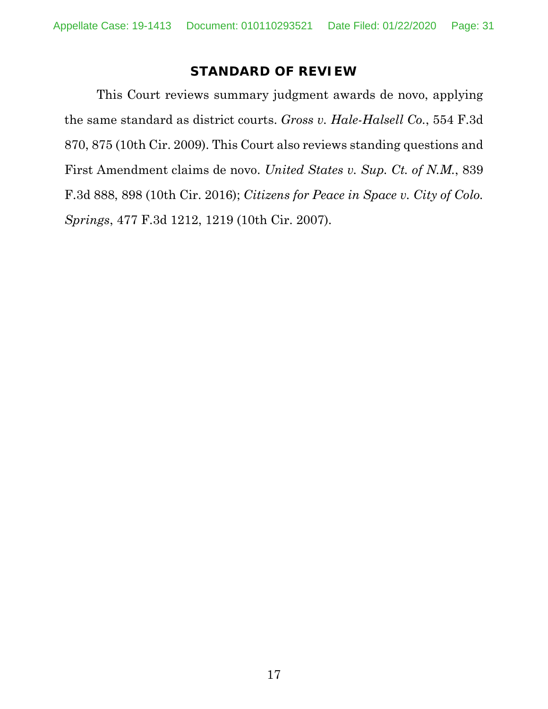### **STANDARD OF REVIEW**

This Court reviews summary judgment awards de novo, applying the same standard as district courts. *Gross v. Hale-Halsell Co.*, 554 F.3d 870, 875 (10th Cir. 2009). This Court also reviews standing questions and First Amendment claims de novo. *United States v. Sup. Ct. of N.M.*, 839 F.3d 888, 898 (10th Cir. 2016); *Citizens for Peace in Space v. City of Colo. Springs*, 477 F.3d 1212, 1219 (10th Cir. 2007).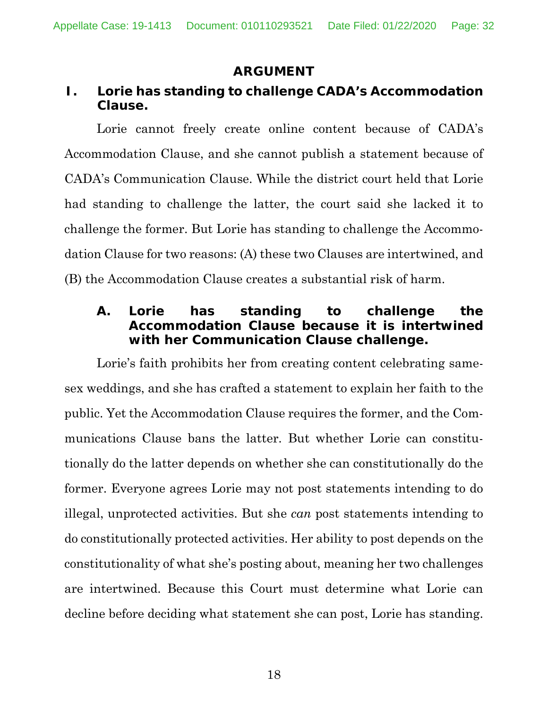### **ARGUMENT**

## **I. Lorie has standing to challenge CADA's Accommodation Clause.**

Lorie cannot freely create online content because of CADA's Accommodation Clause, and she cannot publish a statement because of CADA's Communication Clause. While the district court held that Lorie had standing to challenge the latter, the court said she lacked it to challenge the former. But Lorie has standing to challenge the Accommodation Clause for two reasons: (A) these two Clauses are intertwined, and (B) the Accommodation Clause creates a substantial risk of harm.

### **A. Lorie has standing to challenge the Accommodation Clause because it is intertwined with her Communication Clause challenge.**

Lorie's faith prohibits her from creating content celebrating samesex weddings, and she has crafted a statement to explain her faith to the public. Yet the Accommodation Clause requires the former, and the Communications Clause bans the latter. But whether Lorie can constitutionally do the latter depends on whether she can constitutionally do the former. Everyone agrees Lorie may not post statements intending to do illegal, unprotected activities. But she *can* post statements intending to do constitutionally protected activities. Her ability to post depends on the constitutionality of what she's posting about, meaning her two challenges are intertwined. Because this Court must determine what Lorie can decline before deciding what statement she can post, Lorie has standing.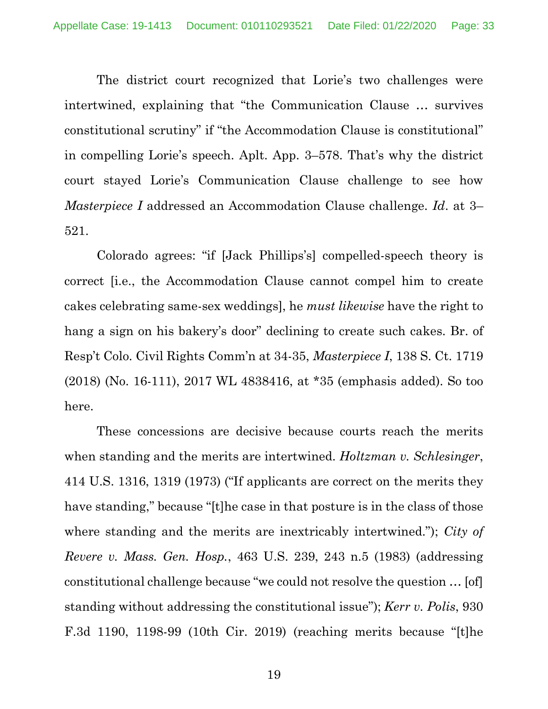The district court recognized that Lorie's two challenges were intertwined, explaining that "the Communication Clause … survives constitutional scrutiny" if "the Accommodation Clause is constitutional" in compelling Lorie's speech. Aplt. App. 3–578. That's why the district court stayed Lorie's Communication Clause challenge to see how *Masterpiece I* addressed an Accommodation Clause challenge. *Id*. at 3– 521.

Colorado agrees: "if [Jack Phillips's] compelled-speech theory is correct [i.e., the Accommodation Clause cannot compel him to create cakes celebrating same-sex weddings], he *must likewise* have the right to hang a sign on his bakery's door" declining to create such cakes. Br. of Resp't Colo. Civil Rights Comm'n at 34-35, *Masterpiece I*, 138 S. Ct. 1719 (2018) (No. 16-111), 2017 WL 4838416, at \*35 (emphasis added). So too here.

These concessions are decisive because courts reach the merits when standing and the merits are intertwined. *Holtzman v. Schlesinger*, 414 U.S. 1316, 1319 (1973) ("If applicants are correct on the merits they have standing," because "[t]he case in that posture is in the class of those where standing and the merits are inextricably intertwined."); *City of Revere v. Mass. Gen. Hosp.*, 463 U.S. 239, 243 n.5 (1983) (addressing constitutional challenge because "we could not resolve the question … [of] standing without addressing the constitutional issue"); *Kerr v. Polis*, 930 F.3d 1190, 1198-99 (10th Cir. 2019) (reaching merits because "[t]he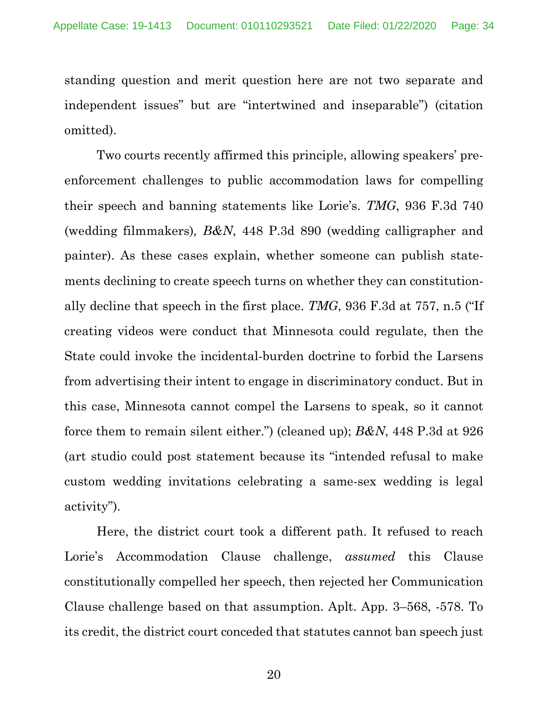standing question and merit question here are not two separate and independent issues" but are "intertwined and inseparable") (citation omitted).

Two courts recently affirmed this principle, allowing speakers' preenforcement challenges to public accommodation laws for compelling their speech and banning statements like Lorie's. *TMG*, 936 F.3d 740 (wedding filmmakers)*, B&N*, 448 P.3d 890 (wedding calligrapher and painter). As these cases explain, whether someone can publish statements declining to create speech turns on whether they can constitutionally decline that speech in the first place. *TMG*, 936 F.3d at 757, n.5 ("If creating videos were conduct that Minnesota could regulate, then the State could invoke the incidental-burden doctrine to forbid the Larsens from advertising their intent to engage in discriminatory conduct. But in this case, Minnesota cannot compel the Larsens to speak, so it cannot force them to remain silent either.") (cleaned up); *B&N*, 448 P.3d at 926 (art studio could post statement because its "intended refusal to make custom wedding invitations celebrating a same-sex wedding is legal activity").

Here, the district court took a different path. It refused to reach Lorie's Accommodation Clause challenge, *assumed* this Clause constitutionally compelled her speech, then rejected her Communication Clause challenge based on that assumption. Aplt. App. 3–568, -578. To its credit, the district court conceded that statutes cannot ban speech just

20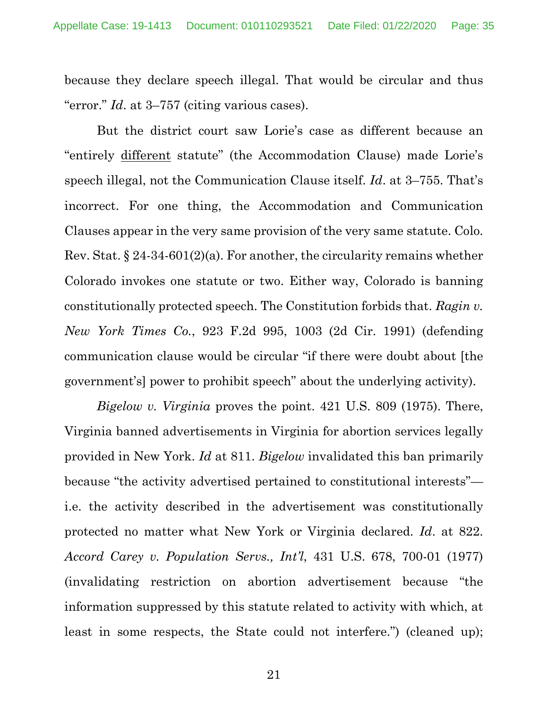because they declare speech illegal. That would be circular and thus "error." *Id*. at 3–757 (citing various cases).

But the district court saw Lorie's case as different because an "entirely different statute" (the Accommodation Clause) made Lorie's speech illegal, not the Communication Clause itself. *Id*. at 3–755. That's incorrect. For one thing, the Accommodation and Communication Clauses appear in the very same provision of the very same statute. Colo. Rev. Stat.  $\S 24-34-601(2)(a)$ . For another, the circularity remains whether Colorado invokes one statute or two. Either way, Colorado is banning constitutionally protected speech. The Constitution forbids that. *Ragin v. New York Times Co.*, 923 F.2d 995, 1003 (2d Cir. 1991) (defending communication clause would be circular "if there were doubt about [the government's] power to prohibit speech" about the underlying activity).

*Bigelow v. Virginia* proves the point. 421 U.S. 809 (1975). There, Virginia banned advertisements in Virginia for abortion services legally provided in New York. *Id* at 811. *Bigelow* invalidated this ban primarily because "the activity advertised pertained to constitutional interests" i.e. the activity described in the advertisement was constitutionally protected no matter what New York or Virginia declared. *Id*. at 822. *Accord Carey v. Population Servs., Int'l*, 431 U.S. 678, 700-01 (1977) (invalidating restriction on abortion advertisement because "the information suppressed by this statute related to activity with which, at least in some respects, the State could not interfere.") (cleaned up);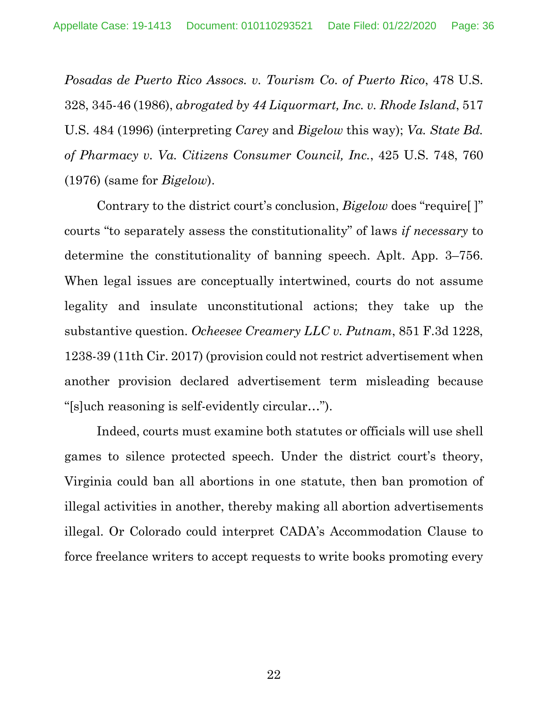*Posadas de Puerto Rico Assocs. v. Tourism Co. of Puerto Rico*, 478 U.S. 328, 345-46 (1986), *abrogated by 44 Liquormart, Inc. v. Rhode Island*, 517 U.S. 484 (1996) (interpreting *Carey* and *Bigelow* this way); *Va. State Bd. of Pharmacy v. Va. Citizens Consumer Council, Inc.*, 425 U.S. 748, 760 (1976) (same for *Bigelow*).

Contrary to the district court's conclusion, *Bigelow* does "require[ ]" courts "to separately assess the constitutionality" of laws *if necessary* to determine the constitutionality of banning speech. Aplt. App. 3–756. When legal issues are conceptually intertwined, courts do not assume legality and insulate unconstitutional actions; they take up the substantive question. *Ocheesee Creamery LLC v. Putnam*, 851 F.3d 1228, 1238-39 (11th Cir. 2017) (provision could not restrict advertisement when another provision declared advertisement term misleading because "[s]uch reasoning is self-evidently circular…").

Indeed, courts must examine both statutes or officials will use shell games to silence protected speech. Under the district court's theory, Virginia could ban all abortions in one statute, then ban promotion of illegal activities in another, thereby making all abortion advertisements illegal. Or Colorado could interpret CADA's Accommodation Clause to force freelance writers to accept requests to write books promoting every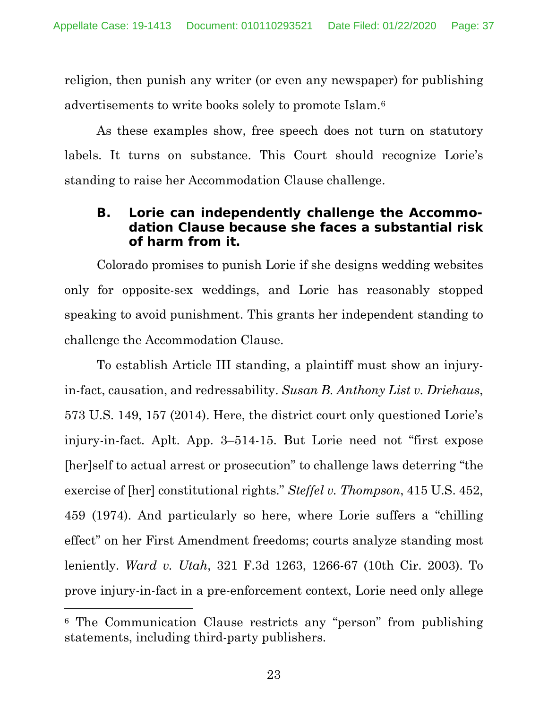religion, then punish any writer (or even any newspaper) for publishing advertisements to write books solely to promote Islam.6

As these examples show, free speech does not turn on statutory labels. It turns on substance. This Court should recognize Lorie's standing to raise her Accommodation Clause challenge.

### **B. Lorie can independently challenge the Accommodation Clause because she faces a substantial risk of harm from it.**

Colorado promises to punish Lorie if she designs wedding websites only for opposite-sex weddings, and Lorie has reasonably stopped speaking to avoid punishment. This grants her independent standing to challenge the Accommodation Clause.

To establish Article III standing, a plaintiff must show an injuryin-fact, causation, and redressability. *Susan B. Anthony List v. Driehaus*, 573 U.S. 149, 157 (2014). Here, the district court only questioned Lorie's injury-in-fact. Aplt. App. 3–514-15. But Lorie need not "first expose [her]self to actual arrest or prosecution" to challenge laws deterring "the exercise of [her] constitutional rights." *Steffel v. Thompson*, 415 U.S. 452, 459 (1974). And particularly so here, where Lorie suffers a "chilling effect" on her First Amendment freedoms; courts analyze standing most leniently. *Ward v. Utah*, 321 F.3d 1263, 1266-67 (10th Cir. 2003). To prove injury-in-fact in a pre-enforcement context, Lorie need only allege

<sup>6</sup> The Communication Clause restricts any "person" from publishing statements, including third-party publishers.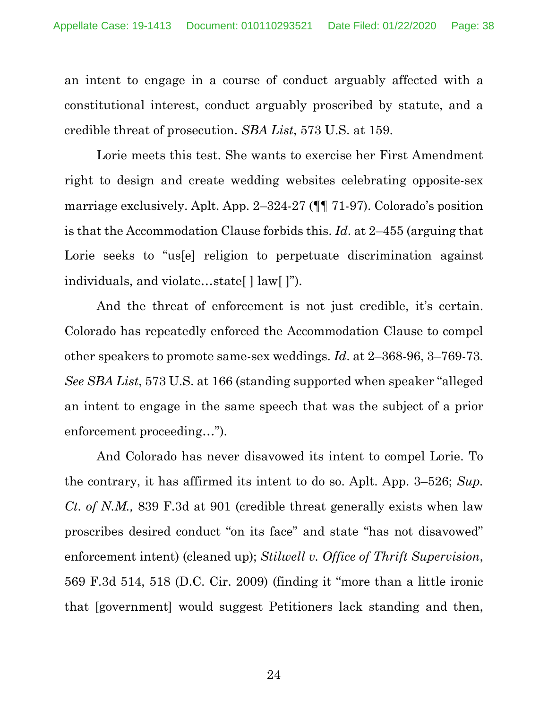an intent to engage in a course of conduct arguably affected with a constitutional interest, conduct arguably proscribed by statute, and a credible threat of prosecution. *SBA List*, 573 U.S. at 159.

Lorie meets this test. She wants to exercise her First Amendment right to design and create wedding websites celebrating opposite-sex marriage exclusively. Aplt. App. 2–324-27 (¶¶ 71-97). Colorado's position is that the Accommodation Clause forbids this. *Id*. at 2–455 (arguing that Lorie seeks to "us<sup>[e]</sup> religion to perpetuate discrimination against individuals, and violate…state[ ] law[ ]").

And the threat of enforcement is not just credible, it's certain. Colorado has repeatedly enforced the Accommodation Clause to compel other speakers to promote same-sex weddings. *Id*. at 2–368-96, 3–769-73. *See SBA List*, 573 U.S. at 166 (standing supported when speaker "alleged an intent to engage in the same speech that was the subject of a prior enforcement proceeding…").

And Colorado has never disavowed its intent to compel Lorie. To the contrary, it has affirmed its intent to do so. Aplt. App. 3–526; *Sup. Ct. of N.M.,* 839 F.3d at 901 (credible threat generally exists when law proscribes desired conduct "on its face" and state "has not disavowed" enforcement intent) (cleaned up); *Stilwell v. Office of Thrift Supervision*, 569 F.3d 514, 518 (D.C. Cir. 2009) (finding it "more than a little ironic that [government] would suggest Petitioners lack standing and then,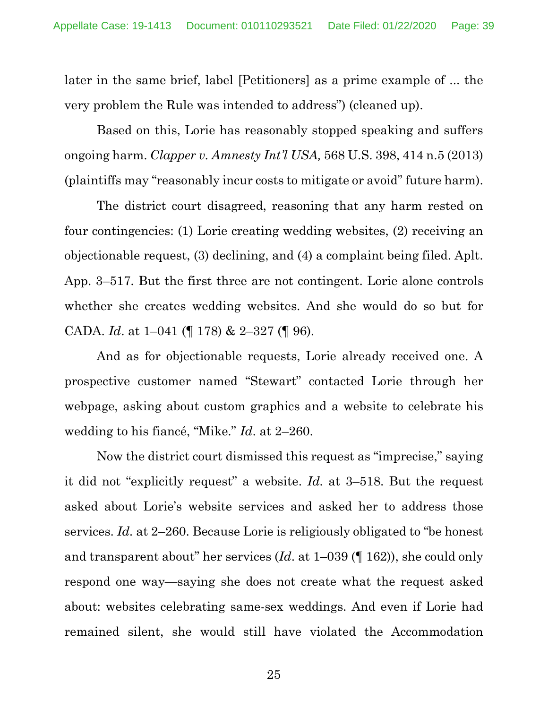later in the same brief, label [Petitioners] as a prime example of ... the very problem the Rule was intended to address") (cleaned up).

Based on this, Lorie has reasonably stopped speaking and suffers ongoing harm. *Clapper v. Amnesty Int'l USA,* 568 U.S. 398, 414 n.5 (2013) (plaintiffs may "reasonably incur costs to mitigate or avoid" future harm).

The district court disagreed, reasoning that any harm rested on four contingencies: (1) Lorie creating wedding websites, (2) receiving an objectionable request, (3) declining, and (4) a complaint being filed. Aplt. App. 3–517. But the first three are not contingent. Lorie alone controls whether she creates wedding websites. And she would do so but for CADA. *Id*. at 1–041 (¶ 178) & 2–327 (¶ 96).

And as for objectionable requests, Lorie already received one. A prospective customer named "Stewart" contacted Lorie through her webpage, asking about custom graphics and a website to celebrate his wedding to his fiancé, "Mike." *Id*. at 2–260.

Now the district court dismissed this request as "imprecise," saying it did not "explicitly request" a website. *Id.* at 3–518. But the request asked about Lorie's website services and asked her to address those services. *Id.* at 2–260. Because Lorie is religiously obligated to "be honest and transparent about" her services (*Id*. at 1–039 (¶ 162)), she could only respond one way—saying she does not create what the request asked about: websites celebrating same-sex weddings. And even if Lorie had remained silent, she would still have violated the Accommodation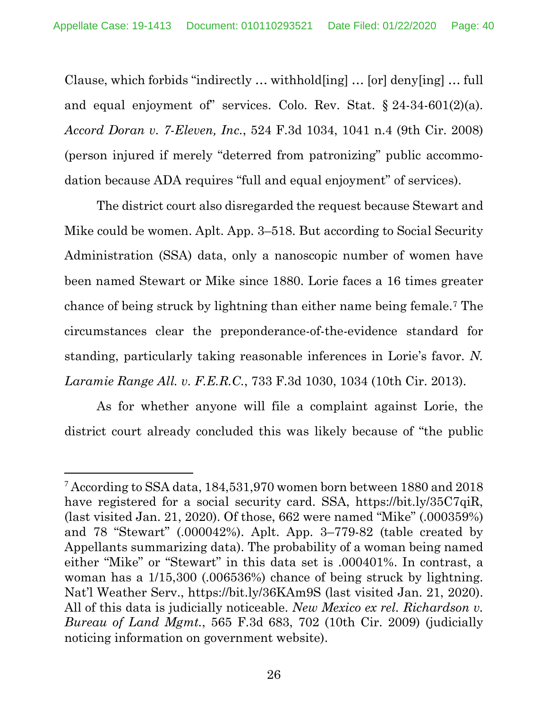Clause, which forbids "indirectly … withhold[ing] … [or] deny[ing] … full and equal enjoyment of services. Colo. Rev. Stat.  $\S 24-34-601(2)(a)$ . *Accord Doran v. 7-Eleven, Inc.*, 524 F.3d 1034, 1041 n.4 (9th Cir. 2008) (person injured if merely "deterred from patronizing" public accommodation because ADA requires "full and equal enjoyment" of services).

The district court also disregarded the request because Stewart and Mike could be women. Aplt. App. 3–518. But according to Social Security Administration (SSA) data, only a nanoscopic number of women have been named Stewart or Mike since 1880. Lorie faces a 16 times greater chance of being struck by lightning than either name being female.7 The circumstances clear the preponderance-of-the-evidence standard for standing, particularly taking reasonable inferences in Lorie's favor. *N. Laramie Range All. v. F.E.R.C.*, 733 F.3d 1030, 1034 (10th Cir. 2013).

As for whether anyone will file a complaint against Lorie, the district court already concluded this was likely because of "the public

<sup>7</sup> According to SSA data, 184,531,970 women born between 1880 and 2018 have registered for a social security card. SSA, https://bit.ly/35C7qiR, (last visited Jan. 21, 2020). Of those, 662 were named "Mike" (.000359%) and 78 "Stewart" (.000042%). Aplt. App. 3–779-82 (table created by Appellants summarizing data). The probability of a woman being named either "Mike" or "Stewart" in this data set is .000401%. In contrast, a woman has a 1/15,300 (.006536%) chance of being struck by lightning. Nat'l Weather Serv., https://bit.ly/36KAm9S (last visited Jan. 21, 2020). All of this data is judicially noticeable. *New Mexico ex rel. Richardson v. Bureau of Land Mgmt.*, 565 F.3d 683, 702 (10th Cir. 2009) (judicially noticing information on government website).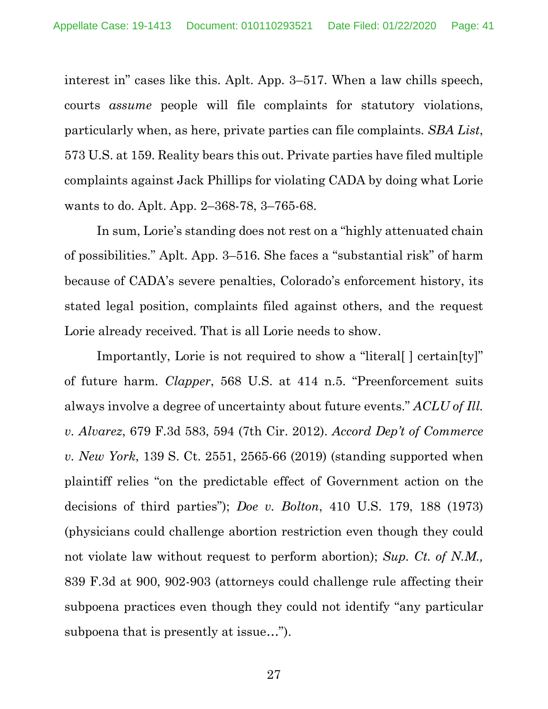interest in" cases like this. Aplt. App. 3–517. When a law chills speech, courts *assume* people will file complaints for statutory violations, particularly when, as here, private parties can file complaints. *SBA List*, 573 U.S. at 159. Reality bears this out. Private parties have filed multiple complaints against Jack Phillips for violating CADA by doing what Lorie wants to do. Aplt. App. 2–368-78, 3–765-68.

In sum, Lorie's standing does not rest on a "highly attenuated chain of possibilities." Aplt. App. 3–516. She faces a "substantial risk" of harm because of CADA's severe penalties, Colorado's enforcement history, its stated legal position, complaints filed against others, and the request Lorie already received. That is all Lorie needs to show.

Importantly, Lorie is not required to show a "literal[ ] certain[ty]" of future harm. *Clapper*, 568 U.S. at 414 n.5. "Preenforcement suits always involve a degree of uncertainty about future events." *ACLU of Ill. v. Alvarez*, 679 F.3d 583, 594 (7th Cir. 2012). *Accord Dep't of Commerce v. New York*, 139 S. Ct. 2551, 2565-66 (2019) (standing supported when plaintiff relies "on the predictable effect of Government action on the decisions of third parties"); *Doe v. Bolton*, 410 U.S. 179, 188 (1973) (physicians could challenge abortion restriction even though they could not violate law without request to perform abortion); *Sup. Ct. of N.M.,* 839 F.3d at 900, 902-903 (attorneys could challenge rule affecting their subpoena practices even though they could not identify "any particular subpoena that is presently at issue…").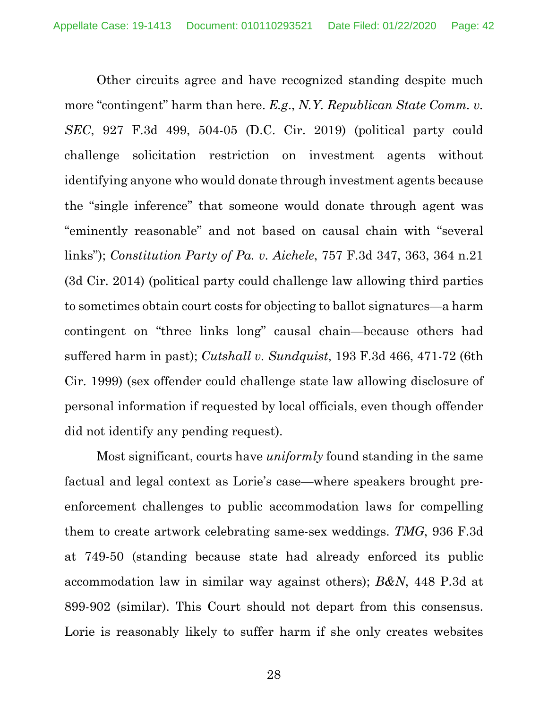Other circuits agree and have recognized standing despite much more "contingent" harm than here. *E.g*., *N.Y. Republican State Comm. v. SEC*, 927 F.3d 499, 504-05 (D.C. Cir. 2019) (political party could challenge solicitation restriction on investment agents without identifying anyone who would donate through investment agents because the "single inference" that someone would donate through agent was "eminently reasonable" and not based on causal chain with "several links"); *Constitution Party of Pa. v. Aichele*, 757 F.3d 347, 363, 364 n.21 (3d Cir. 2014) (political party could challenge law allowing third parties to sometimes obtain court costs for objecting to ballot signatures—a harm contingent on "three links long" causal chain—because others had suffered harm in past); *Cutshall v. Sundquist*, 193 F.3d 466, 471-72 (6th Cir. 1999) (sex offender could challenge state law allowing disclosure of personal information if requested by local officials, even though offender did not identify any pending request).

Most significant, courts have *uniformly* found standing in the same factual and legal context as Lorie's case—where speakers brought preenforcement challenges to public accommodation laws for compelling them to create artwork celebrating same-sex weddings. *TMG*, 936 F.3d at 749-50 (standing because state had already enforced its public accommodation law in similar way against others); *B&N*, 448 P.3d at 899-902 (similar). This Court should not depart from this consensus. Lorie is reasonably likely to suffer harm if she only creates websites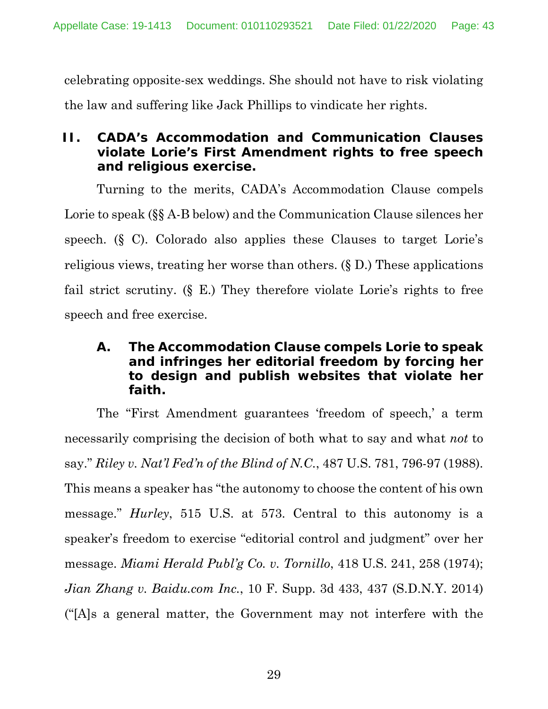celebrating opposite-sex weddings. She should not have to risk violating the law and suffering like Jack Phillips to vindicate her rights.

## **II. CADA's Accommodation and Communication Clauses violate Lorie's First Amendment rights to free speech and religious exercise.**

Turning to the merits, CADA's Accommodation Clause compels Lorie to speak (§§ A-B below) and the Communication Clause silences her speech. (§ C). Colorado also applies these Clauses to target Lorie's religious views, treating her worse than others. (§ D.) These applications fail strict scrutiny. (§ E.) They therefore violate Lorie's rights to free speech and free exercise.

## **A. The Accommodation Clause compels Lorie to speak and infringes her editorial freedom by forcing her to design and publish websites that violate her faith.**

The "First Amendment guarantees 'freedom of speech,' a term necessarily comprising the decision of both what to say and what *not* to say." *Riley v. Nat'l Fed'n of the Blind of N.C.*, 487 U.S. 781, 796-97 (1988). This means a speaker has "the autonomy to choose the content of his own message." *Hurley*, 515 U.S. at 573. Central to this autonomy is a speaker's freedom to exercise "editorial control and judgment" over her message. *Miami Herald Publ'g Co. v. Tornillo*, 418 U.S. 241, 258 (1974); *Jian Zhang v. Baidu.com Inc.*, 10 F. Supp. 3d 433, 437 (S.D.N.Y. 2014) ("[A]s a general matter, the Government may not interfere with the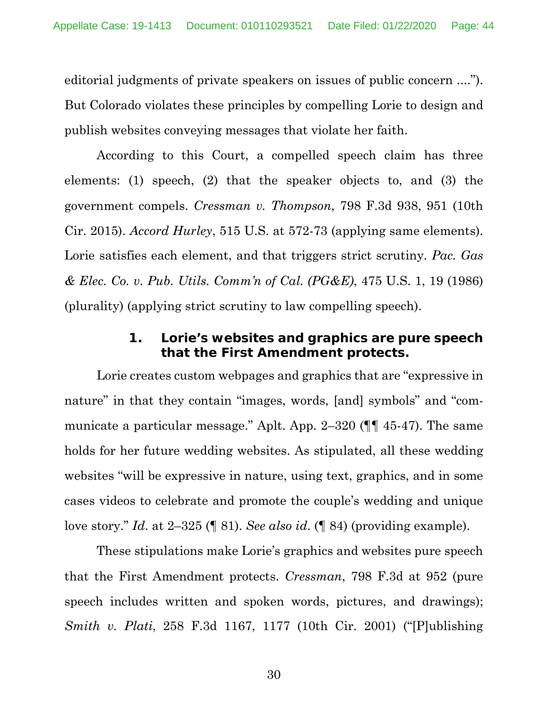editorial judgments of private speakers on issues of public concern ...."). But Colorado violates these principles by compelling Lorie to design and publish websites conveying messages that violate her faith.

According to this Court, a compelled speech claim has three elements: (1) speech, (2) that the speaker objects to, and (3) the government compels. *Cressman v. Thompson*, 798 F.3d 938, 951 (10th Cir. 2015). *Accord Hurley*, 515 U.S. at 572-73 (applying same elements). Lorie satisfies each element, and that triggers strict scrutiny. *Pac. Gas & Elec. Co. v. Pub. Utils. Comm'n of Cal. (PG&E)*, 475 U.S. 1, 19 (1986) (plurality) (applying strict scrutiny to law compelling speech).

### **1. Lorie's websites and graphics are pure speech that the First Amendment protects.**

Lorie creates custom webpages and graphics that are "expressive in nature" in that they contain "images, words, [and] symbols" and "communicate a particular message." Aplt. App. 2–320 (¶¶ 45-47). The same holds for her future wedding websites. As stipulated, all these wedding websites "will be expressive in nature, using text, graphics, and in some cases videos to celebrate and promote the couple's wedding and unique love story." *Id*. at 2–325 (¶ 81). *See also id*. (¶ 84) (providing example).

These stipulations make Lorie's graphics and websites pure speech that the First Amendment protects. *Cressman*, 798 F.3d at 952 (pure speech includes written and spoken words, pictures, and drawings); *Smith v. Plati*, 258 F.3d 1167, 1177 (10th Cir. 2001) ("[P]ublishing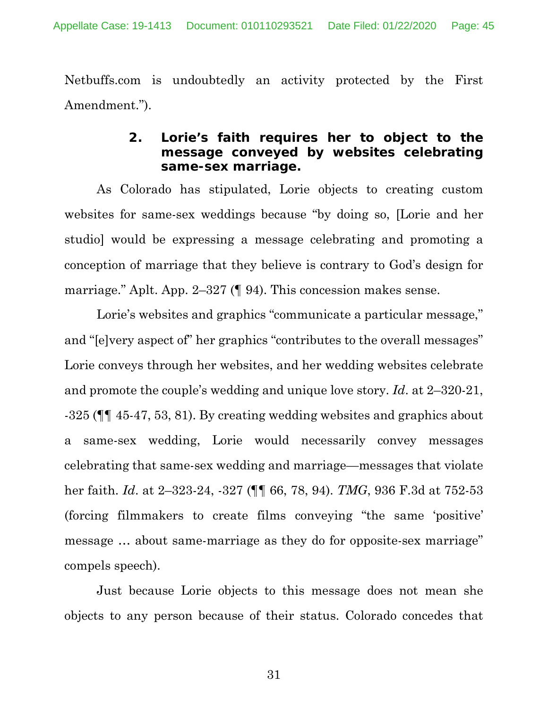Netbuffs.com is undoubtedly an activity protected by the First Amendment.").

### **2. Lorie's faith requires her to object to the message conveyed by websites celebrating same-sex marriage.**

As Colorado has stipulated, Lorie objects to creating custom websites for same-sex weddings because "by doing so, [Lorie and her studio] would be expressing a message celebrating and promoting a conception of marriage that they believe is contrary to God's design for marriage." Aplt. App. 2–327 (¶ 94). This concession makes sense.

Lorie's websites and graphics "communicate a particular message," and "[e]very aspect of" her graphics "contributes to the overall messages" Lorie conveys through her websites, and her wedding websites celebrate and promote the couple's wedding and unique love story. *Id*. at 2–320-21, -325 (¶¶ 45-47, 53, 81). By creating wedding websites and graphics about a same-sex wedding, Lorie would necessarily convey messages celebrating that same-sex wedding and marriage—messages that violate her faith. *Id*. at 2–323-24, -327 (¶¶ 66, 78, 94). *TMG*, 936 F.3d at 752-53 (forcing filmmakers to create films conveying "the same 'positive' message … about same-marriage as they do for opposite-sex marriage" compels speech).

Just because Lorie objects to this message does not mean she objects to any person because of their status. Colorado concedes that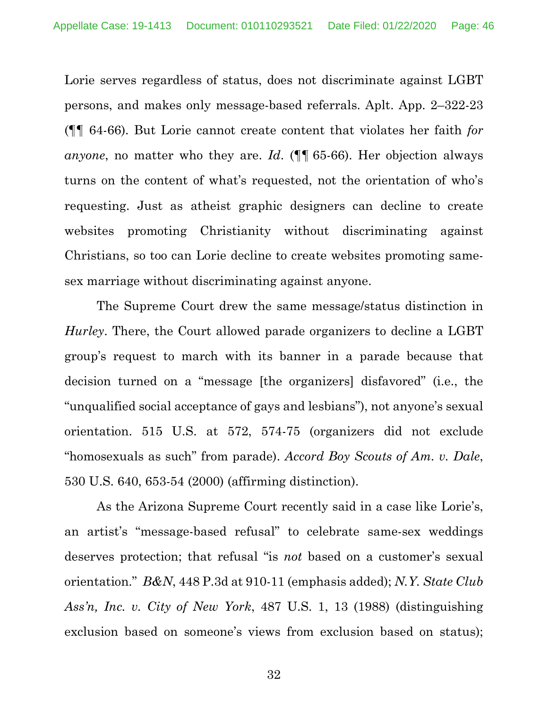Lorie serves regardless of status, does not discriminate against LGBT persons, and makes only message-based referrals. Aplt. App. 2–322-23 (¶¶ 64-66). But Lorie cannot create content that violates her faith *for anyone*, no matter who they are. *Id*. (¶¶ 65-66). Her objection always turns on the content of what's requested, not the orientation of who's requesting. Just as atheist graphic designers can decline to create websites promoting Christianity without discriminating against Christians, so too can Lorie decline to create websites promoting samesex marriage without discriminating against anyone.

The Supreme Court drew the same message/status distinction in *Hurley*. There, the Court allowed parade organizers to decline a LGBT group's request to march with its banner in a parade because that decision turned on a "message [the organizers] disfavored" (i.e., the "unqualified social acceptance of gays and lesbians"), not anyone's sexual orientation. 515 U.S. at 572, 574-75 (organizers did not exclude "homosexuals as such" from parade). *Accord Boy Scouts of Am. v. Dale*, 530 U.S. 640, 653-54 (2000) (affirming distinction).

As the Arizona Supreme Court recently said in a case like Lorie's, an artist's "message-based refusal" to celebrate same-sex weddings deserves protection; that refusal "is *not* based on a customer's sexual orientation." *B&N*, 448 P.3d at 910-11 (emphasis added); *N.Y. State Club Ass'n, Inc. v. City of New York*, 487 U.S. 1, 13 (1988) (distinguishing exclusion based on someone's views from exclusion based on status);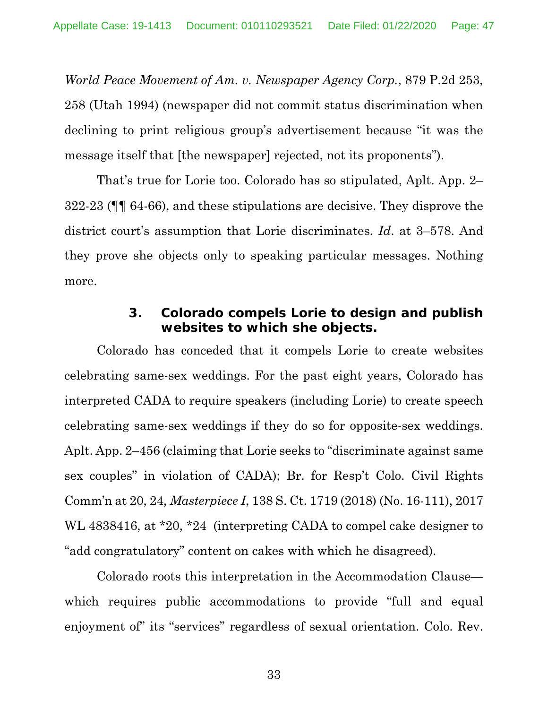*World Peace Movement of Am. v. Newspaper Agency Corp.*, 879 P.2d 253, 258 (Utah 1994) (newspaper did not commit status discrimination when declining to print religious group's advertisement because "it was the message itself that [the newspaper] rejected, not its proponents").

That's true for Lorie too. Colorado has so stipulated, Aplt. App. 2– 322-23 (¶¶ 64-66), and these stipulations are decisive. They disprove the district court's assumption that Lorie discriminates. *Id*. at 3–578. And they prove she objects only to speaking particular messages. Nothing more.

#### **3. Colorado compels Lorie to design and publish websites to which she objects.**

Colorado has conceded that it compels Lorie to create websites celebrating same-sex weddings. For the past eight years, Colorado has interpreted CADA to require speakers (including Lorie) to create speech celebrating same-sex weddings if they do so for opposite-sex weddings. Aplt. App. 2–456 (claiming that Lorie seeks to "discriminate against same sex couples" in violation of CADA); Br. for Resp't Colo. Civil Rights Comm'n at 20, 24, *Masterpiece I*, 138 S. Ct. 1719 (2018) (No. 16-111), 2017 WL 4838416, at \*20, \*24 (interpreting CADA to compel cake designer to "add congratulatory" content on cakes with which he disagreed).

Colorado roots this interpretation in the Accommodation Clause which requires public accommodations to provide "full and equal enjoyment of" its "services" regardless of sexual orientation. Colo. Rev.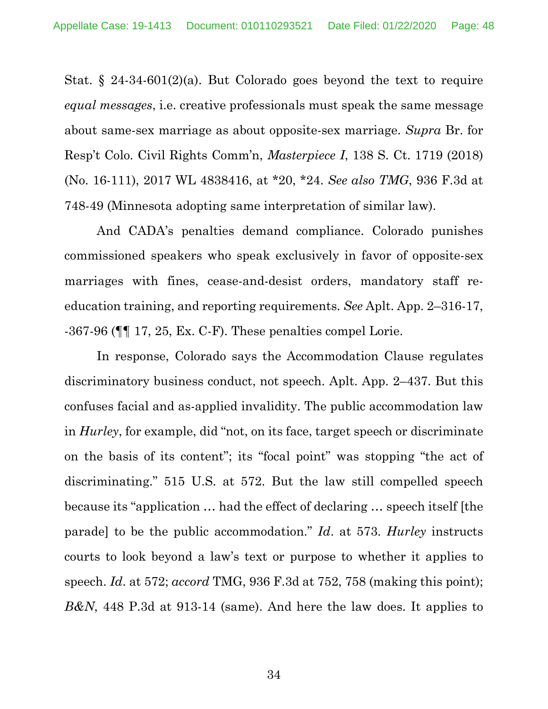Stat.  $\S$  24-34-601(2)(a). But Colorado goes beyond the text to require *equal messages*, i.e. creative professionals must speak the same message about same-sex marriage as about opposite-sex marriage. *Supra* Br. for Resp't Colo. Civil Rights Comm'n, *Masterpiece I*, 138 S. Ct. 1719 (2018) (No. 16-111), 2017 WL 4838416, at \*20, \*24. *See also TMG*, 936 F.3d at 748-49 (Minnesota adopting same interpretation of similar law).

And CADA's penalties demand compliance. Colorado punishes commissioned speakers who speak exclusively in favor of opposite-sex marriages with fines, cease-and-desist orders, mandatory staff reeducation training, and reporting requirements. *See* Aplt. App. 2–316-17, -367-96 (¶¶ 17, 25, Ex. C-F). These penalties compel Lorie.

In response, Colorado says the Accommodation Clause regulates discriminatory business conduct, not speech. Aplt. App. 2–437. But this confuses facial and as-applied invalidity. The public accommodation law in *Hurley*, for example, did "not, on its face, target speech or discriminate on the basis of its content"; its "focal point" was stopping "the act of discriminating." 515 U.S. at 572. But the law still compelled speech because its "application … had the effect of declaring … speech itself [the parade] to be the public accommodation." *Id*. at 573. *Hurley* instructs courts to look beyond a law's text or purpose to whether it applies to speech. *Id*. at 572; *accord* TMG, 936 F.3d at 752, 758 (making this point); *B&N*, 448 P.3d at 913-14 (same). And here the law does. It applies to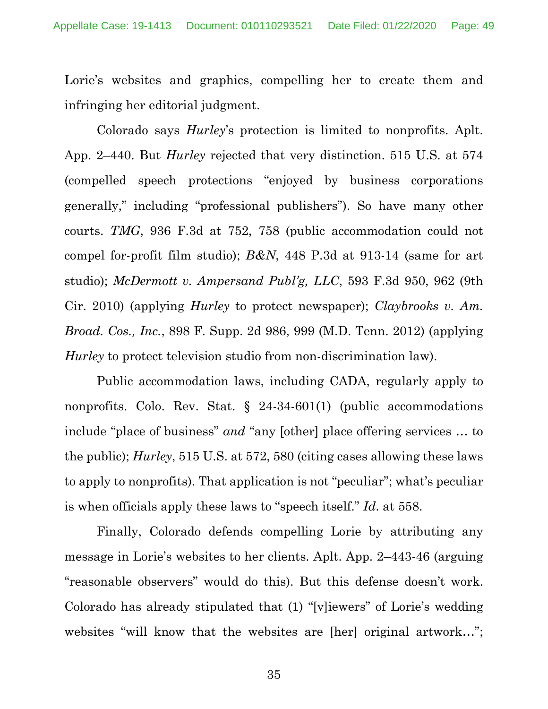Lorie's websites and graphics, compelling her to create them and infringing her editorial judgment.

Colorado says *Hurley*'s protection is limited to nonprofits. Aplt. App. 2–440. But *Hurley* rejected that very distinction. 515 U.S. at 574 (compelled speech protections "enjoyed by business corporations generally," including "professional publishers"). So have many other courts. *TMG*, 936 F.3d at 752, 758 (public accommodation could not compel for-profit film studio); *B&N*, 448 P.3d at 913-14 (same for art studio); *McDermott v. Ampersand Publ'g, LLC*, 593 F.3d 950, 962 (9th Cir. 2010) (applying *Hurley* to protect newspaper); *Claybrooks v. Am. Broad. Cos., Inc.*, 898 F. Supp. 2d 986, 999 (M.D. Tenn. 2012) (applying *Hurley* to protect television studio from non-discrimination law).

Public accommodation laws, including CADA, regularly apply to nonprofits. Colo. Rev. Stat. § 24-34-601(1) (public accommodations include "place of business" *and* "any [other] place offering services … to the public); *Hurley*, 515 U.S. at 572, 580 (citing cases allowing these laws to apply to nonprofits). That application is not "peculiar"; what's peculiar is when officials apply these laws to "speech itself." *Id*. at 558.

Finally, Colorado defends compelling Lorie by attributing any message in Lorie's websites to her clients. Aplt. App. 2–443-46 (arguing "reasonable observers" would do this). But this defense doesn't work. Colorado has already stipulated that (1) "[v]iewers" of Lorie's wedding websites "will know that the websites are [her] original artwork...";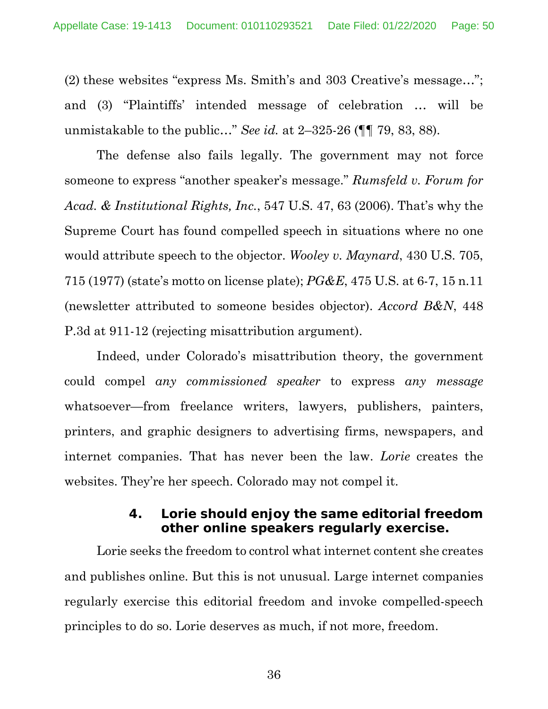(2) these websites "express Ms. Smith's and 303 Creative's message…"; and (3) "Plaintiffs' intended message of celebration … will be unmistakable to the public…" *See id.* at 2–325-26 (¶¶ 79, 83, 88).

The defense also fails legally. The government may not force someone to express "another speaker's message." *Rumsfeld v. Forum for Acad. & Institutional Rights, Inc.*, 547 U.S. 47, 63 (2006). That's why the Supreme Court has found compelled speech in situations where no one would attribute speech to the objector. *Wooley v. Maynard*, 430 U.S. 705, 715 (1977) (state's motto on license plate); *PG&E*, 475 U.S. at 6-7, 15 n.11 (newsletter attributed to someone besides objector). *Accord B&N*, 448 P.3d at 911-12 (rejecting misattribution argument).

Indeed, under Colorado's misattribution theory, the government could compel *any commissioned speaker* to express *any message* whatsoever—from freelance writers, lawyers, publishers, painters, printers, and graphic designers to advertising firms, newspapers, and internet companies. That has never been the law. *Lorie* creates the websites. They're her speech. Colorado may not compel it.

### **4. Lorie should enjoy the same editorial freedom other online speakers regularly exercise.**

Lorie seeks the freedom to control what internet content she creates and publishes online. But this is not unusual. Large internet companies regularly exercise this editorial freedom and invoke compelled-speech principles to do so. Lorie deserves as much, if not more, freedom.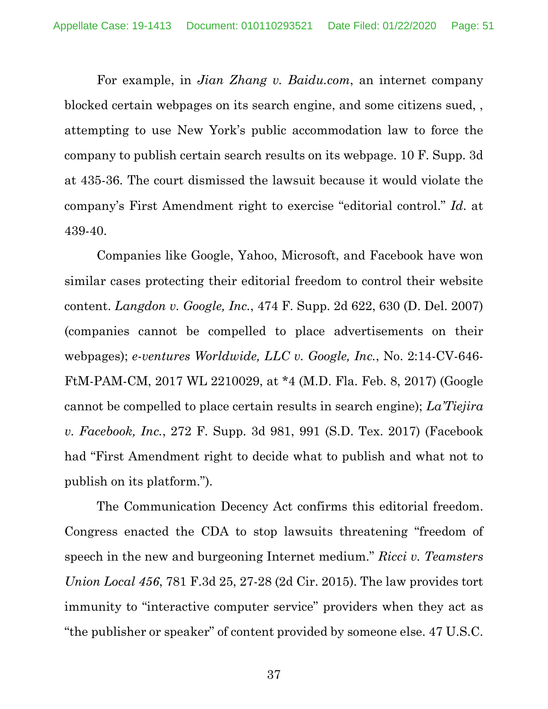For example, in *Jian Zhang v. Baidu.com*, an internet company blocked certain webpages on its search engine, and some citizens sued, , attempting to use New York's public accommodation law to force the company to publish certain search results on its webpage. 10 F. Supp. 3d at 435-36. The court dismissed the lawsuit because it would violate the company's First Amendment right to exercise "editorial control." *Id*. at 439-40.

Companies like Google, Yahoo, Microsoft, and Facebook have won similar cases protecting their editorial freedom to control their website content. *Langdon v. Google, Inc.*, 474 F. Supp. 2d 622, 630 (D. Del. 2007) (companies cannot be compelled to place advertisements on their webpages); *e-ventures Worldwide, LLC v. Google, Inc.*, No. 2:14-CV-646- FtM-PAM-CM, 2017 WL 2210029, at \*4 (M.D. Fla. Feb. 8, 2017) (Google cannot be compelled to place certain results in search engine); *La'Tiejira v. Facebook, Inc.*, 272 F. Supp. 3d 981, 991 (S.D. Tex. 2017) (Facebook had "First Amendment right to decide what to publish and what not to publish on its platform.").

The Communication Decency Act confirms this editorial freedom. Congress enacted the CDA to stop lawsuits threatening "freedom of speech in the new and burgeoning Internet medium." *Ricci v. Teamsters Union Local 456*, 781 F.3d 25, 27-28 (2d Cir. 2015). The law provides tort immunity to "interactive computer service" providers when they act as "the publisher or speaker" of content provided by someone else. 47 U.S.C.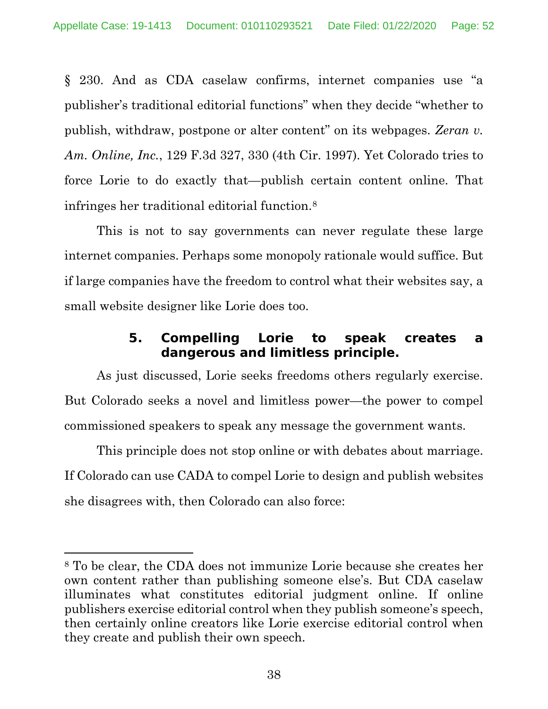§ 230. And as CDA caselaw confirms, internet companies use "a publisher's traditional editorial functions" when they decide "whether to publish, withdraw, postpone or alter content" on its webpages. *Zeran v. Am. Online, Inc.*, 129 F.3d 327, 330 (4th Cir. 1997). Yet Colorado tries to force Lorie to do exactly that—publish certain content online. That infringes her traditional editorial function.8

This is not to say governments can never regulate these large internet companies. Perhaps some monopoly rationale would suffice. But if large companies have the freedom to control what their websites say, a small website designer like Lorie does too.

# **5. Compelling Lorie to speak creates a dangerous and limitless principle.**

As just discussed, Lorie seeks freedoms others regularly exercise. But Colorado seeks a novel and limitless power—the power to compel commissioned speakers to speak any message the government wants.

This principle does not stop online or with debates about marriage. If Colorado can use CADA to compel Lorie to design and publish websites she disagrees with, then Colorado can also force:

<sup>8</sup> To be clear, the CDA does not immunize Lorie because she creates her own content rather than publishing someone else's. But CDA caselaw illuminates what constitutes editorial judgment online. If online publishers exercise editorial control when they publish someone's speech, then certainly online creators like Lorie exercise editorial control when they create and publish their own speech.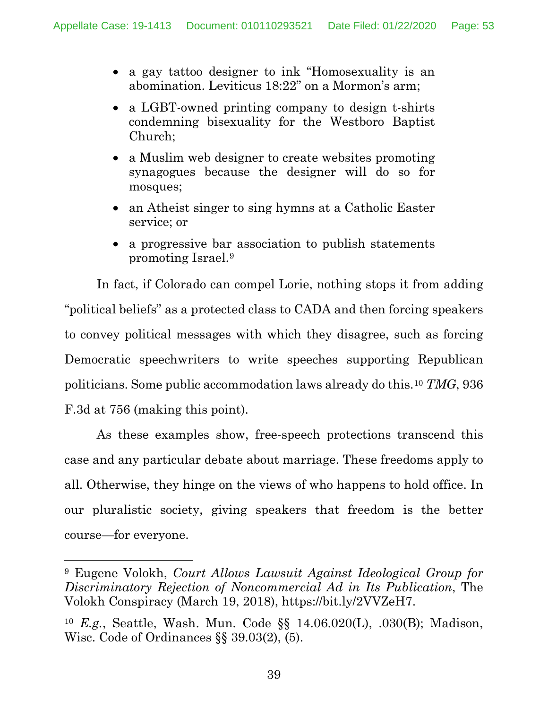- a gay tattoo designer to ink "Homosexuality is an abomination. Leviticus 18:22" on a Mormon's arm;
- a LGBT-owned printing company to design t-shirts condemning bisexuality for the Westboro Baptist Church;
- a Muslim web designer to create websites promoting synagogues because the designer will do so for mosques;
- an Atheist singer to sing hymns at a Catholic Easter service; or
- a progressive bar association to publish statements promoting Israel.9

In fact, if Colorado can compel Lorie, nothing stops it from adding "political beliefs" as a protected class to CADA and then forcing speakers to convey political messages with which they disagree, such as forcing Democratic speechwriters to write speeches supporting Republican politicians. Some public accommodation laws already do this.10 *TMG*, 936 F.3d at 756 (making this point).

As these examples show, free-speech protections transcend this case and any particular debate about marriage. These freedoms apply to all. Otherwise, they hinge on the views of who happens to hold office. In our pluralistic society, giving speakers that freedom is the better course—for everyone.

<sup>9</sup> Eugene Volokh, *Court Allows Lawsuit Against Ideological Group for Discriminatory Rejection of Noncommercial Ad in Its Publication*, The Volokh Conspiracy (March 19, 2018), https://bit.ly/2VVZeH7.

<sup>10</sup> *E.g.*, Seattle, Wash. Mun. Code §§ 14.06.020(L), .030(B); Madison, Wisc. Code of Ordinances §§ 39.03(2), (5).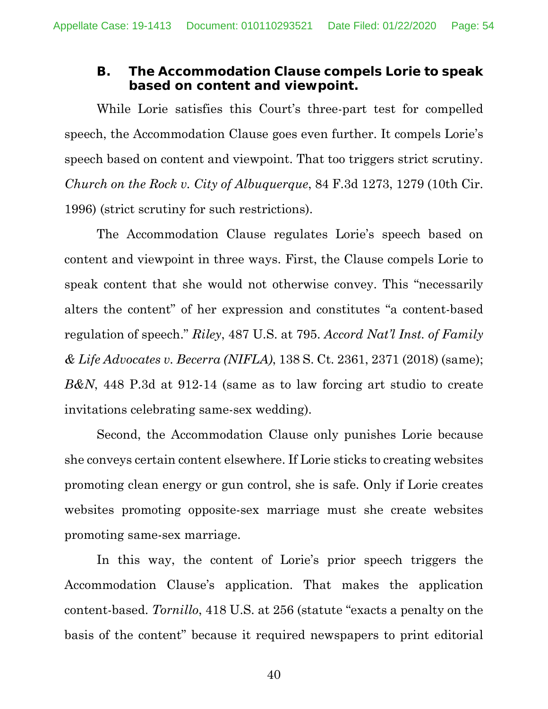### **B. The Accommodation Clause compels Lorie to speak based on content and viewpoint.**

While Lorie satisfies this Court's three-part test for compelled speech, the Accommodation Clause goes even further. It compels Lorie's speech based on content and viewpoint. That too triggers strict scrutiny. *Church on the Rock v. City of Albuquerque*, 84 F.3d 1273, 1279 (10th Cir. 1996) (strict scrutiny for such restrictions).

The Accommodation Clause regulates Lorie's speech based on content and viewpoint in three ways. First, the Clause compels Lorie to speak content that she would not otherwise convey. This "necessarily alters the content" of her expression and constitutes "a content-based regulation of speech." *Riley*, 487 U.S. at 795. *Accord Nat'l Inst. of Family & Life Advocates v. Becerra (NIFLA)*, 138 S. Ct. 2361, 2371 (2018) (same); *B&N*, 448 P.3d at 912-14 (same as to law forcing art studio to create invitations celebrating same-sex wedding).

Second, the Accommodation Clause only punishes Lorie because she conveys certain content elsewhere. If Lorie sticks to creating websites promoting clean energy or gun control, she is safe. Only if Lorie creates websites promoting opposite-sex marriage must she create websites promoting same-sex marriage.

In this way, the content of Lorie's prior speech triggers the Accommodation Clause's application. That makes the application content-based. *Tornillo*, 418 U.S. at 256 (statute "exacts a penalty on the basis of the content" because it required newspapers to print editorial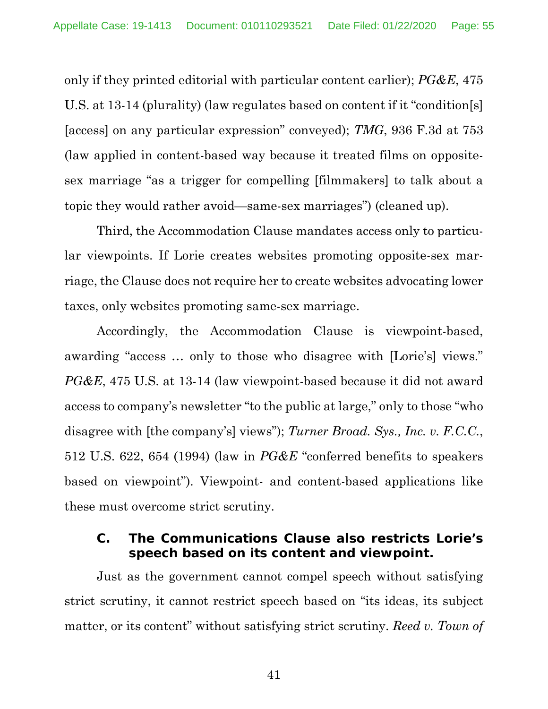only if they printed editorial with particular content earlier); *PG&E*, 475 U.S. at 13-14 (plurality) (law regulates based on content if it "condition[s] [access] on any particular expression" conveyed); *TMG*, 936 F.3d at 753 (law applied in content-based way because it treated films on oppositesex marriage "as a trigger for compelling [filmmakers] to talk about a topic they would rather avoid—same-sex marriages") (cleaned up).

Third, the Accommodation Clause mandates access only to particular viewpoints. If Lorie creates websites promoting opposite-sex marriage, the Clause does not require her to create websites advocating lower taxes, only websites promoting same-sex marriage.

Accordingly, the Accommodation Clause is viewpoint-based, awarding "access … only to those who disagree with [Lorie's] views." *PG&E*, 475 U.S. at 13-14 (law viewpoint-based because it did not award access to company's newsletter "to the public at large," only to those "who disagree with [the company's] views"); *Turner Broad. Sys., Inc. v. F.C.C.*, 512 U.S. 622, 654 (1994) (law in *PG&E* "conferred benefits to speakers based on viewpoint"). Viewpoint- and content-based applications like these must overcome strict scrutiny.

### **C. The Communications Clause also restricts Lorie's speech based on its content and viewpoint.**

Just as the government cannot compel speech without satisfying strict scrutiny, it cannot restrict speech based on "its ideas, its subject matter, or its content" without satisfying strict scrutiny. *Reed v. Town of*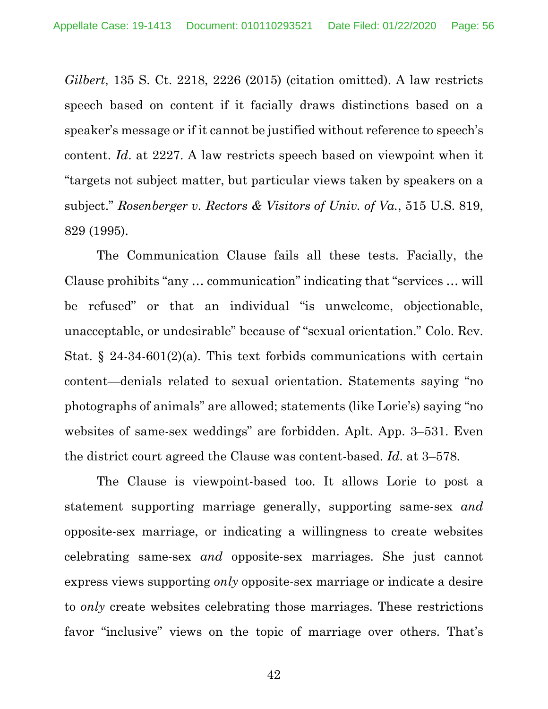*Gilbert*, 135 S. Ct. 2218, 2226 (2015) (citation omitted). A law restricts speech based on content if it facially draws distinctions based on a speaker's message or if it cannot be justified without reference to speech's content. *Id*. at 2227. A law restricts speech based on viewpoint when it "targets not subject matter, but particular views taken by speakers on a subject." *Rosenberger v. Rectors & Visitors of Univ. of Va.*, 515 U.S. 819, 829 (1995).

The Communication Clause fails all these tests. Facially, the Clause prohibits "any … communication" indicating that "services … will be refused" or that an individual "is unwelcome, objectionable, unacceptable, or undesirable" because of "sexual orientation." Colo. Rev. Stat.  $\S$  24-34-601(2)(a). This text forbids communications with certain content—denials related to sexual orientation. Statements saying "no photographs of animals" are allowed; statements (like Lorie's) saying "no websites of same-sex weddings" are forbidden. Aplt. App. 3–531. Even the district court agreed the Clause was content-based. *Id*. at 3–578.

The Clause is viewpoint-based too. It allows Lorie to post a statement supporting marriage generally, supporting same-sex *and* opposite-sex marriage, or indicating a willingness to create websites celebrating same-sex *and* opposite-sex marriages. She just cannot express views supporting *only* opposite-sex marriage or indicate a desire to *only* create websites celebrating those marriages. These restrictions favor "inclusive" views on the topic of marriage over others. That's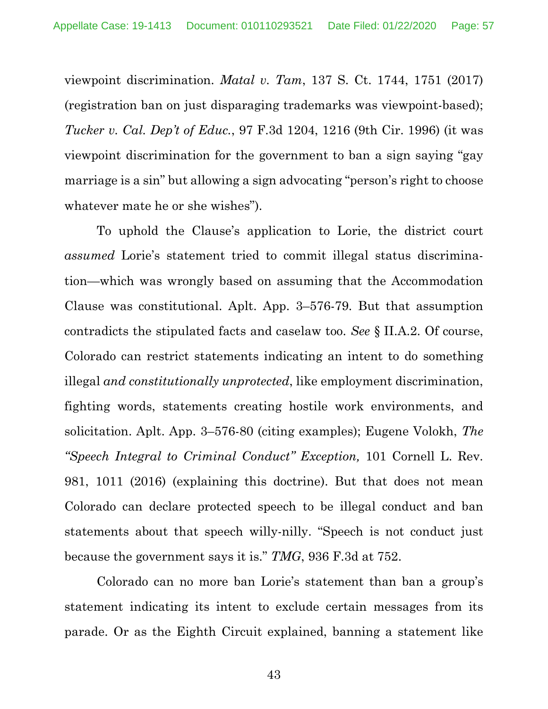viewpoint discrimination. *Matal v. Tam*, 137 S. Ct. 1744, 1751 (2017) (registration ban on just disparaging trademarks was viewpoint-based); *Tucker v. Cal. Dep't of Educ.*, 97 F.3d 1204, 1216 (9th Cir. 1996) (it was viewpoint discrimination for the government to ban a sign saying "gay marriage is a sin" but allowing a sign advocating "person's right to choose whatever mate he or she wishes").

To uphold the Clause's application to Lorie, the district court *assumed* Lorie's statement tried to commit illegal status discrimination—which was wrongly based on assuming that the Accommodation Clause was constitutional. Aplt. App. 3–576-79. But that assumption contradicts the stipulated facts and caselaw too. *See* § II.A.2. Of course, Colorado can restrict statements indicating an intent to do something illegal *and constitutionally unprotected*, like employment discrimination, fighting words, statements creating hostile work environments, and solicitation. Aplt. App. 3–576-80 (citing examples); Eugene Volokh, *The "Speech Integral to Criminal Conduct" Exception,* 101 Cornell L. Rev. 981, 1011 (2016) (explaining this doctrine). But that does not mean Colorado can declare protected speech to be illegal conduct and ban statements about that speech willy-nilly. "Speech is not conduct just because the government says it is." *TMG*, 936 F.3d at 752.

Colorado can no more ban Lorie's statement than ban a group's statement indicating its intent to exclude certain messages from its parade. Or as the Eighth Circuit explained, banning a statement like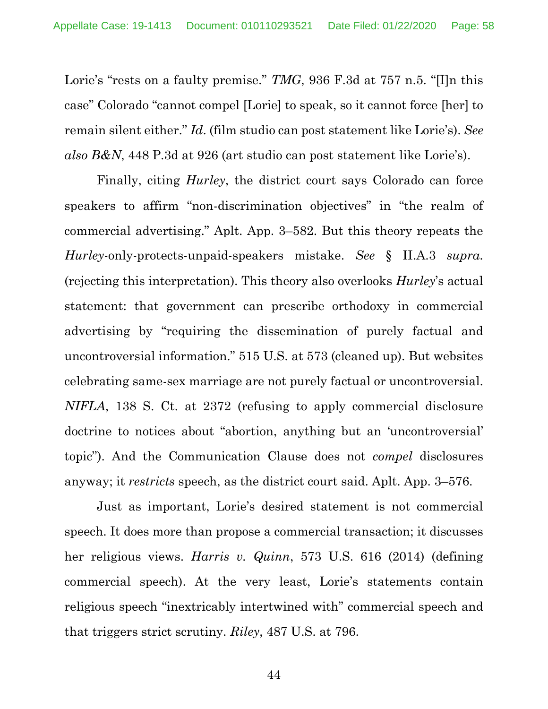Lorie's "rests on a faulty premise." *TMG*, 936 F.3d at 757 n.5. "[I]n this case" Colorado "cannot compel [Lorie] to speak, so it cannot force [her] to remain silent either." *Id*. (film studio can post statement like Lorie's). *See also B&N*, 448 P.3d at 926 (art studio can post statement like Lorie's).

Finally, citing *Hurley*, the district court says Colorado can force speakers to affirm "non-discrimination objectives" in "the realm of commercial advertising." Aplt. App. 3–582. But this theory repeats the *Hurley*-only-protects-unpaid-speakers mistake. *See* § II.A.3 *supra*. (rejecting this interpretation). This theory also overlooks *Hurley*'s actual statement: that government can prescribe orthodoxy in commercial advertising by "requiring the dissemination of purely factual and uncontroversial information." 515 U.S. at 573 (cleaned up). But websites celebrating same-sex marriage are not purely factual or uncontroversial. *NIFLA*, 138 S. Ct. at 2372 (refusing to apply commercial disclosure doctrine to notices about "abortion, anything but an 'uncontroversial' topic"). And the Communication Clause does not *compel* disclosures anyway; it *restricts* speech, as the district court said. Aplt. App. 3–576.

Just as important, Lorie's desired statement is not commercial speech. It does more than propose a commercial transaction; it discusses her religious views. *Harris v. Quinn*, 573 U.S. 616 (2014) (defining commercial speech). At the very least, Lorie's statements contain religious speech "inextricably intertwined with" commercial speech and that triggers strict scrutiny. *Riley*, 487 U.S. at 796.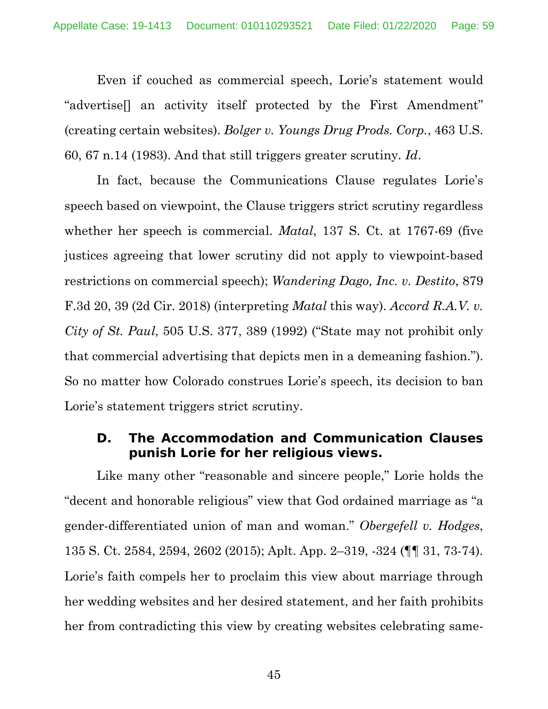Even if couched as commercial speech, Lorie's statement would "advertise[] an activity itself protected by the First Amendment" (creating certain websites). *Bolger v. Youngs Drug Prods. Corp.*, 463 U.S. 60, 67 n.14 (1983). And that still triggers greater scrutiny. *Id*.

In fact, because the Communications Clause regulates Lorie's speech based on viewpoint, the Clause triggers strict scrutiny regardless whether her speech is commercial. *Matal*, 137 S. Ct. at 1767-69 (five justices agreeing that lower scrutiny did not apply to viewpoint-based restrictions on commercial speech); *Wandering Dago, Inc. v. Destito*, 879 F.3d 20, 39 (2d Cir. 2018) (interpreting *Matal* this way). *Accord R.A.V. v. City of St. Paul*, 505 U.S. 377, 389 (1992) ("State may not prohibit only that commercial advertising that depicts men in a demeaning fashion."). So no matter how Colorado construes Lorie's speech, its decision to ban Lorie's statement triggers strict scrutiny.

#### **D. The Accommodation and Communication Clauses punish Lorie for her religious views.**

Like many other "reasonable and sincere people," Lorie holds the "decent and honorable religious" view that God ordained marriage as "a gender-differentiated union of man and woman." *Obergefell v. Hodges*, 135 S. Ct. 2584, 2594, 2602 (2015); Aplt. App. 2–319, -324 (¶¶ 31, 73-74). Lorie's faith compels her to proclaim this view about marriage through her wedding websites and her desired statement, and her faith prohibits her from contradicting this view by creating websites celebrating same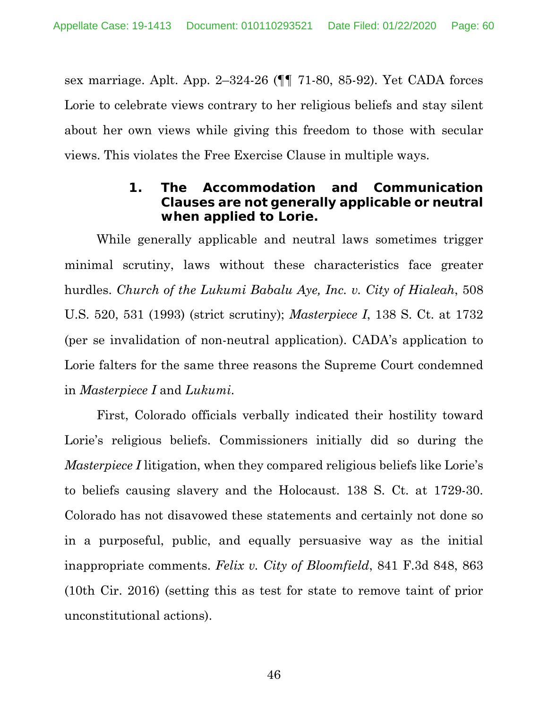sex marriage. Aplt. App. 2–324-26 (¶¶ 71-80, 85-92). Yet CADA forces Lorie to celebrate views contrary to her religious beliefs and stay silent about her own views while giving this freedom to those with secular views. This violates the Free Exercise Clause in multiple ways.

### **1. The Accommodation and Communication Clauses are not generally applicable or neutral when applied to Lorie.**

While generally applicable and neutral laws sometimes trigger minimal scrutiny, laws without these characteristics face greater hurdles. *Church of the Lukumi Babalu Aye, Inc. v. City of Hialeah*, 508 U.S. 520, 531 (1993) (strict scrutiny); *Masterpiece I*, 138 S. Ct. at 1732 (per se invalidation of non-neutral application). CADA's application to Lorie falters for the same three reasons the Supreme Court condemned in *Masterpiece I* and *Lukumi*.

First, Colorado officials verbally indicated their hostility toward Lorie's religious beliefs. Commissioners initially did so during the *Masterpiece I* litigation, when they compared religious beliefs like Lorie's to beliefs causing slavery and the Holocaust. 138 S. Ct. at 1729-30. Colorado has not disavowed these statements and certainly not done so in a purposeful, public, and equally persuasive way as the initial inappropriate comments. *Felix v. City of Bloomfield*, 841 F.3d 848, 863 (10th Cir. 2016) (setting this as test for state to remove taint of prior unconstitutional actions).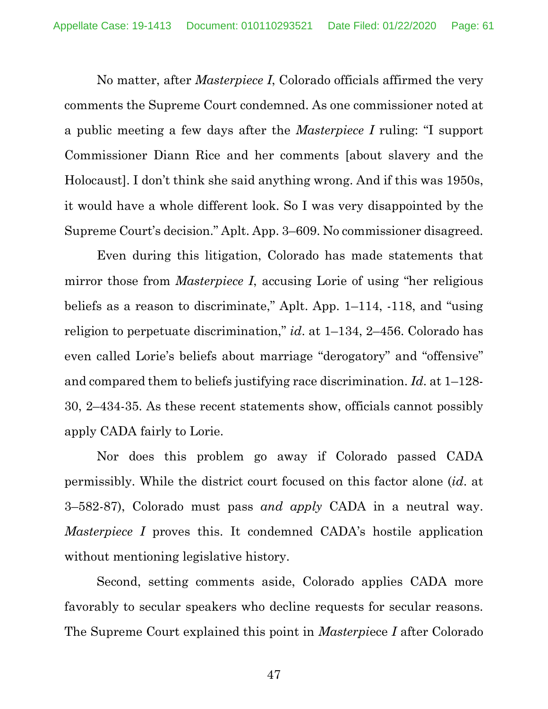No matter, after *Masterpiece I*, Colorado officials affirmed the very comments the Supreme Court condemned. As one commissioner noted at a public meeting a few days after the *Masterpiece I* ruling: "I support Commissioner Diann Rice and her comments [about slavery and the Holocaust]. I don't think she said anything wrong. And if this was 1950s, it would have a whole different look. So I was very disappointed by the Supreme Court's decision." Aplt. App. 3–609. No commissioner disagreed.

Even during this litigation, Colorado has made statements that mirror those from *Masterpiece I*, accusing Lorie of using "her religious beliefs as a reason to discriminate," Aplt. App. 1–114, -118, and "using religion to perpetuate discrimination," *id*. at 1–134, 2–456. Colorado has even called Lorie's beliefs about marriage "derogatory" and "offensive" and compared them to beliefs justifying race discrimination. *Id*. at 1–128- 30, 2–434-35. As these recent statements show, officials cannot possibly apply CADA fairly to Lorie.

Nor does this problem go away if Colorado passed CADA permissibly. While the district court focused on this factor alone (*id*. at 3–582-87), Colorado must pass *and apply* CADA in a neutral way. *Masterpiece I* proves this. It condemned CADA's hostile application without mentioning legislative history.

Second, setting comments aside, Colorado applies CADA more favorably to secular speakers who decline requests for secular reasons. The Supreme Court explained this point in *Masterpi*ece *I* after Colorado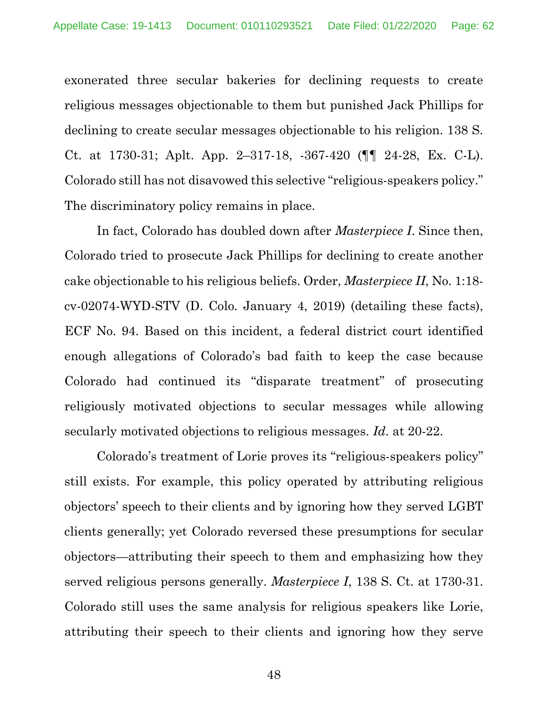exonerated three secular bakeries for declining requests to create religious messages objectionable to them but punished Jack Phillips for declining to create secular messages objectionable to his religion. 138 S. Ct. at 1730-31; Aplt. App. 2–317-18, -367-420 (¶¶ 24-28, Ex. C-L). Colorado still has not disavowed this selective "religious-speakers policy." The discriminatory policy remains in place.

In fact, Colorado has doubled down after *Masterpiece I*. Since then, Colorado tried to prosecute Jack Phillips for declining to create another cake objectionable to his religious beliefs. Order, *Masterpiece II*, No. 1:18 cv-02074-WYD-STV (D. Colo. January 4, 2019) (detailing these facts), ECF No. 94. Based on this incident, a federal district court identified enough allegations of Colorado's bad faith to keep the case because Colorado had continued its "disparate treatment" of prosecuting religiously motivated objections to secular messages while allowing secularly motivated objections to religious messages. *Id*. at 20-22.

Colorado's treatment of Lorie proves its "religious-speakers policy" still exists. For example, this policy operated by attributing religious objectors' speech to their clients and by ignoring how they served LGBT clients generally; yet Colorado reversed these presumptions for secular objectors—attributing their speech to them and emphasizing how they served religious persons generally. *Masterpiece I*, 138 S. Ct. at 1730-31. Colorado still uses the same analysis for religious speakers like Lorie, attributing their speech to their clients and ignoring how they serve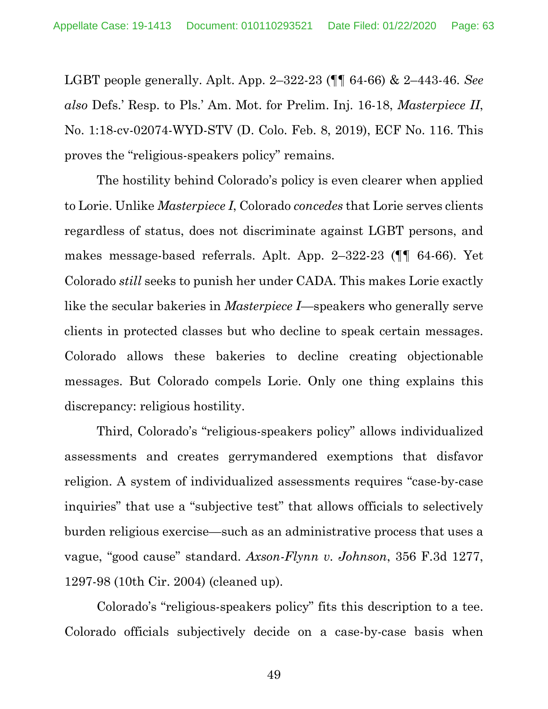LGBT people generally. Aplt. App. 2–322-23 (¶¶ 64-66) & 2–443-46. *See also* Defs.' Resp. to Pls.' Am. Mot. for Prelim. Inj. 16-18, *Masterpiece II*, No. 1:18-cv-02074-WYD-STV (D. Colo. Feb. 8, 2019), ECF No. 116. This proves the "religious-speakers policy" remains.

The hostility behind Colorado's policy is even clearer when applied to Lorie. Unlike *Masterpiece I*, Colorado *concedes* that Lorie serves clients regardless of status, does not discriminate against LGBT persons, and makes message-based referrals. Aplt. App. 2–322-23 (¶¶ 64-66). Yet Colorado *still* seeks to punish her under CADA. This makes Lorie exactly like the secular bakeries in *Masterpiece I*—speakers who generally serve clients in protected classes but who decline to speak certain messages. Colorado allows these bakeries to decline creating objectionable messages. But Colorado compels Lorie. Only one thing explains this discrepancy: religious hostility.

Third, Colorado's "religious-speakers policy" allows individualized assessments and creates gerrymandered exemptions that disfavor religion. A system of individualized assessments requires "case-by-case inquiries" that use a "subjective test" that allows officials to selectively burden religious exercise—such as an administrative process that uses a vague, "good cause" standard. *Axson-Flynn v. Johnson*, 356 F.3d 1277, 1297-98 (10th Cir. 2004) (cleaned up).

Colorado's "religious-speakers policy" fits this description to a tee. Colorado officials subjectively decide on a case-by-case basis when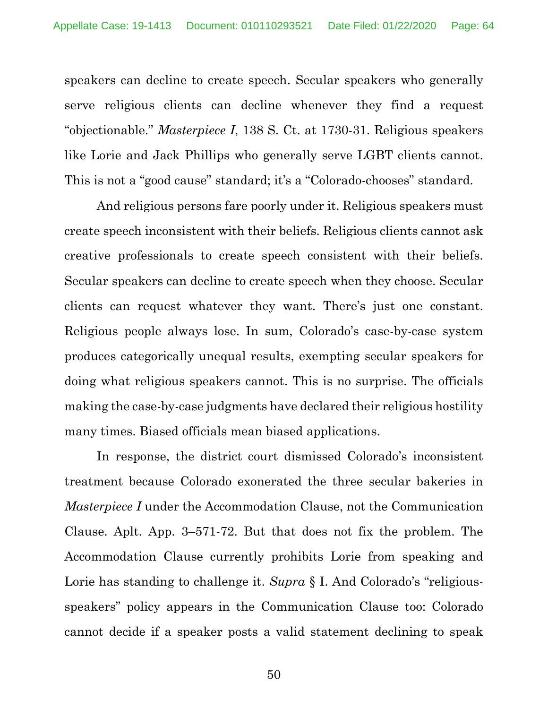speakers can decline to create speech. Secular speakers who generally serve religious clients can decline whenever they find a request "objectionable." *Masterpiece I*, 138 S. Ct. at 1730-31. Religious speakers like Lorie and Jack Phillips who generally serve LGBT clients cannot. This is not a "good cause" standard; it's a "Colorado-chooses" standard.

And religious persons fare poorly under it. Religious speakers must create speech inconsistent with their beliefs. Religious clients cannot ask creative professionals to create speech consistent with their beliefs. Secular speakers can decline to create speech when they choose. Secular clients can request whatever they want. There's just one constant. Religious people always lose. In sum, Colorado's case-by-case system produces categorically unequal results, exempting secular speakers for doing what religious speakers cannot. This is no surprise. The officials making the case-by-case judgments have declared their religious hostility many times. Biased officials mean biased applications.

In response, the district court dismissed Colorado's inconsistent treatment because Colorado exonerated the three secular bakeries in *Masterpiece I* under the Accommodation Clause, not the Communication Clause. Aplt. App. 3–571-72. But that does not fix the problem. The Accommodation Clause currently prohibits Lorie from speaking and Lorie has standing to challenge it. *Supra* § I. And Colorado's "religiousspeakers" policy appears in the Communication Clause too: Colorado cannot decide if a speaker posts a valid statement declining to speak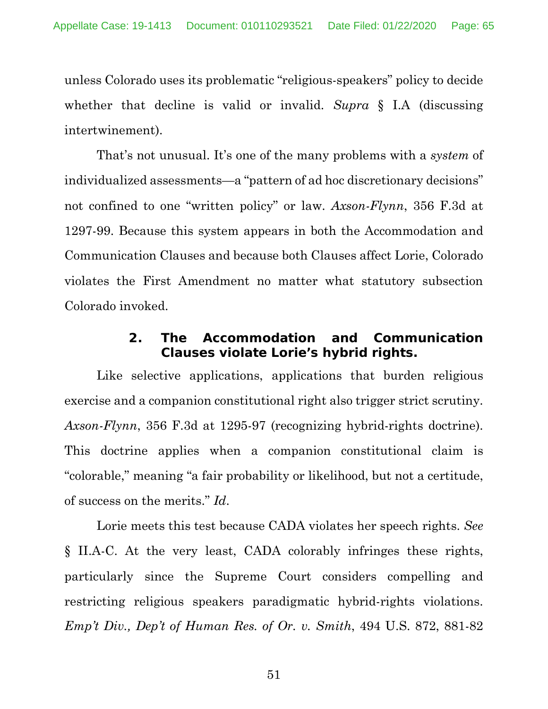unless Colorado uses its problematic "religious-speakers" policy to decide whether that decline is valid or invalid. *Supra* § I.A (discussing intertwinement).

That's not unusual. It's one of the many problems with a *system* of individualized assessments—a "pattern of ad hoc discretionary decisions" not confined to one "written policy" or law. *Axson-Flynn*, 356 F.3d at 1297-99. Because this system appears in both the Accommodation and Communication Clauses and because both Clauses affect Lorie, Colorado violates the First Amendment no matter what statutory subsection Colorado invoked.

### **2. The Accommodation and Communication Clauses violate Lorie's hybrid rights.**

Like selective applications, applications that burden religious exercise and a companion constitutional right also trigger strict scrutiny. *Axson-Flynn*, 356 F.3d at 1295-97 (recognizing hybrid-rights doctrine). This doctrine applies when a companion constitutional claim is "colorable," meaning "a fair probability or likelihood, but not a certitude, of success on the merits." *Id*.

Lorie meets this test because CADA violates her speech rights. *See* § II.A-C. At the very least, CADA colorably infringes these rights, particularly since the Supreme Court considers compelling and restricting religious speakers paradigmatic hybrid-rights violations. *Emp't Div., Dep't of Human Res. of Or. v. Smith*, 494 U.S. 872, 881-82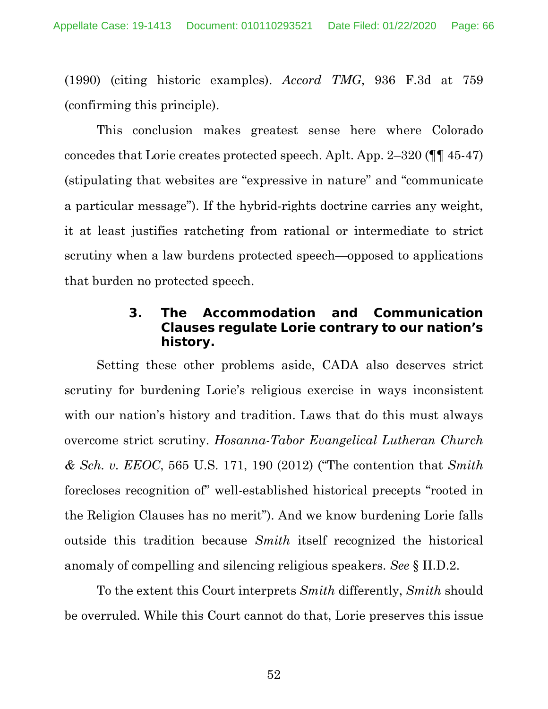(1990) (citing historic examples). *Accord TMG*, 936 F.3d at 759 (confirming this principle).

This conclusion makes greatest sense here where Colorado concedes that Lorie creates protected speech. Aplt. App. 2–320 (¶¶ 45-47) (stipulating that websites are "expressive in nature" and "communicate a particular message"). If the hybrid-rights doctrine carries any weight, it at least justifies ratcheting from rational or intermediate to strict scrutiny when a law burdens protected speech—opposed to applications that burden no protected speech.

### **3. The Accommodation and Communication Clauses regulate Lorie contrary to our nation's history.**

Setting these other problems aside, CADA also deserves strict scrutiny for burdening Lorie's religious exercise in ways inconsistent with our nation's history and tradition. Laws that do this must always overcome strict scrutiny. *Hosanna-Tabor Evangelical Lutheran Church & Sch. v. EEOC*, 565 U.S. 171, 190 (2012) ("The contention that *Smith* forecloses recognition of" well-established historical precepts "rooted in the Religion Clauses has no merit"). And we know burdening Lorie falls outside this tradition because *Smith* itself recognized the historical anomaly of compelling and silencing religious speakers. *See* § II.D.2.

To the extent this Court interprets *Smith* differently, *Smith* should be overruled. While this Court cannot do that, Lorie preserves this issue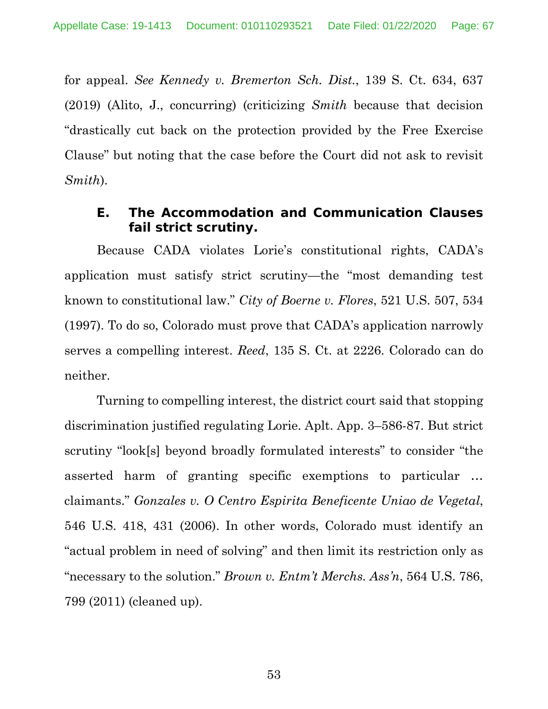for appeal. *See Kennedy v. Bremerton Sch. Dist.*, 139 S. Ct. 634, 637 (2019) (Alito, J., concurring) (criticizing *Smith* because that decision "drastically cut back on the protection provided by the Free Exercise Clause" but noting that the case before the Court did not ask to revisit *Smith*).

#### **E. The Accommodation and Communication Clauses fail strict scrutiny.**

Because CADA violates Lorie's constitutional rights, CADA's application must satisfy strict scrutiny—the "most demanding test known to constitutional law." *City of Boerne v. Flores*, 521 U.S. 507, 534 (1997). To do so, Colorado must prove that CADA's application narrowly serves a compelling interest. *Reed*, 135 S. Ct. at 2226. Colorado can do neither.

Turning to compelling interest, the district court said that stopping discrimination justified regulating Lorie. Aplt. App. 3–586-87. But strict scrutiny "look[s] beyond broadly formulated interests" to consider "the asserted harm of granting specific exemptions to particular … claimants." *Gonzales v. O Centro Espirita Beneficente Uniao de Vegetal*, 546 U.S. 418, 431 (2006). In other words, Colorado must identify an "actual problem in need of solving" and then limit its restriction only as "necessary to the solution." *Brown v. Entm't Merchs. Ass'n*, 564 U.S. 786, 799 (2011) (cleaned up).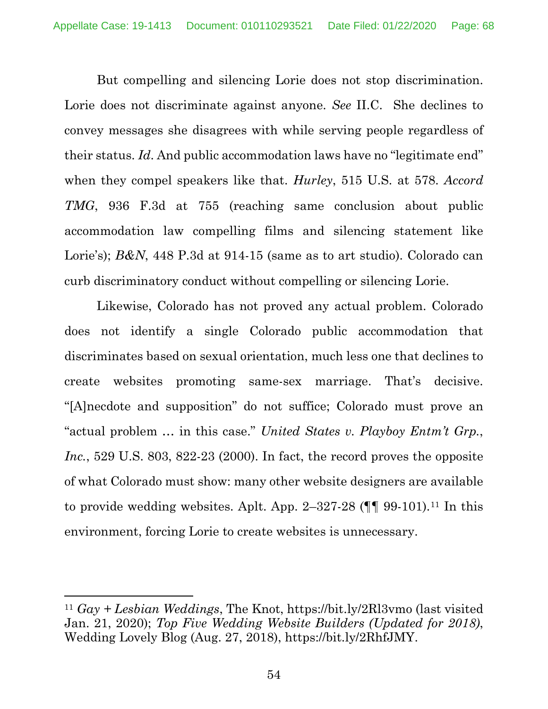But compelling and silencing Lorie does not stop discrimination. Lorie does not discriminate against anyone. *See* II.C. She declines to convey messages she disagrees with while serving people regardless of their status. *Id*. And public accommodation laws have no "legitimate end" when they compel speakers like that. *Hurley*, 515 U.S. at 578. *Accord TMG*, 936 F.3d at 755 (reaching same conclusion about public accommodation law compelling films and silencing statement like Lorie's); *B&N*, 448 P.3d at 914-15 (same as to art studio). Colorado can curb discriminatory conduct without compelling or silencing Lorie.

Likewise, Colorado has not proved any actual problem. Colorado does not identify a single Colorado public accommodation that discriminates based on sexual orientation, much less one that declines to create websites promoting same-sex marriage. That's decisive. "[A]necdote and supposition" do not suffice; Colorado must prove an "actual problem … in this case." *United States v. Playboy Entm't Grp.*, *Inc.*, 529 U.S. 803, 822-23 (2000). In fact, the record proves the opposite of what Colorado must show: many other website designers are available to provide wedding websites. Aplt. App. 2–327-28  $(\P\P 99-101)$ .<sup>11</sup> In this environment, forcing Lorie to create websites is unnecessary.

<sup>11</sup> *Gay + Lesbian Weddings*, The Knot, https://bit.ly/2Rl3vmo (last visited Jan. 21, 2020); *Top Five Wedding Website Builders (Updated for 2018)*, Wedding Lovely Blog (Aug. 27, 2018), https://bit.ly/2RhfJMY.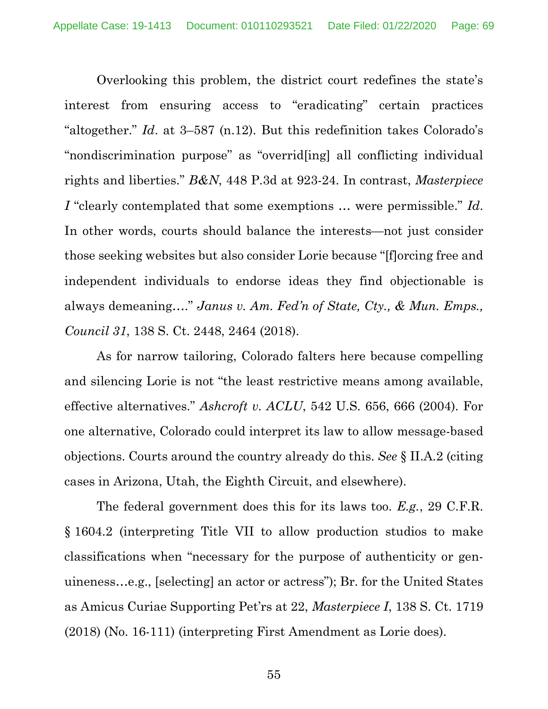Overlooking this problem, the district court redefines the state's interest from ensuring access to "eradicating" certain practices "altogether." *Id*. at 3–587 (n.12). But this redefinition takes Colorado's "nondiscrimination purpose" as "overrid[ing] all conflicting individual rights and liberties." *B&N*, 448 P.3d at 923-24. In contrast, *Masterpiece I* "clearly contemplated that some exemptions … were permissible." *Id*. In other words, courts should balance the interests—not just consider those seeking websites but also consider Lorie because "[f]orcing free and independent individuals to endorse ideas they find objectionable is always demeaning…." *Janus v. Am. Fed'n of State, Cty., & Mun. Emps., Council 31*, 138 S. Ct. 2448, 2464 (2018).

As for narrow tailoring, Colorado falters here because compelling and silencing Lorie is not "the least restrictive means among available, effective alternatives." *Ashcroft v. ACLU*, 542 U.S. 656, 666 (2004). For one alternative, Colorado could interpret its law to allow message-based objections. Courts around the country already do this. *See* § II.A.2 (citing cases in Arizona, Utah, the Eighth Circuit, and elsewhere).

The federal government does this for its laws too. *E.g.*, 29 C.F.R. § 1604.2 (interpreting Title VII to allow production studios to make classifications when "necessary for the purpose of authenticity or genuineness…e.g., [selecting] an actor or actress"); Br. for the United States as Amicus Curiae Supporting Pet'rs at 22, *Masterpiece I*, 138 S. Ct. 1719 (2018) (No. 16-111) (interpreting First Amendment as Lorie does).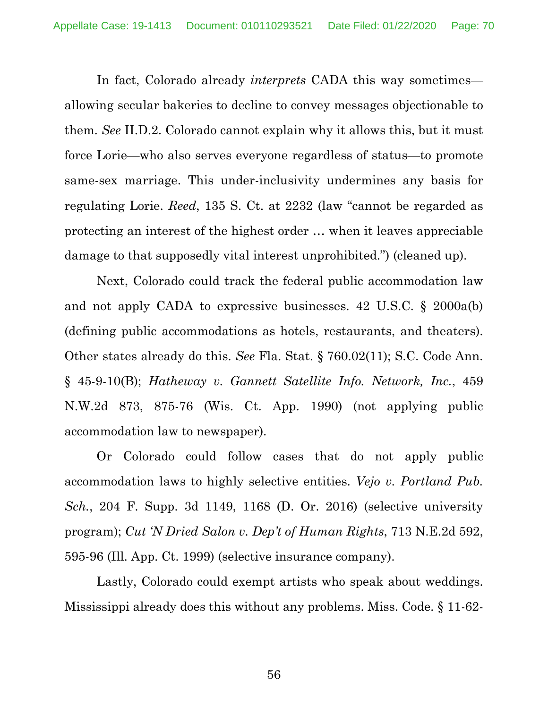In fact, Colorado already *interprets* CADA this way sometimes allowing secular bakeries to decline to convey messages objectionable to them. *See* II.D.2. Colorado cannot explain why it allows this, but it must force Lorie—who also serves everyone regardless of status—to promote same-sex marriage. This under-inclusivity undermines any basis for regulating Lorie. *Reed*, 135 S. Ct. at 2232 (law "cannot be regarded as protecting an interest of the highest order … when it leaves appreciable damage to that supposedly vital interest unprohibited.") (cleaned up).

Next, Colorado could track the federal public accommodation law and not apply CADA to expressive businesses. 42 U.S.C. § 2000a(b) (defining public accommodations as hotels, restaurants, and theaters). Other states already do this. *See* Fla. Stat. § 760.02(11); S.C. Code Ann. § 45-9-10(B); *Hatheway v. Gannett Satellite Info. Network, Inc.*, 459 N.W.2d 873, 875-76 (Wis. Ct. App. 1990) (not applying public accommodation law to newspaper).

Or Colorado could follow cases that do not apply public accommodation laws to highly selective entities. *Vejo v. Portland Pub. Sch.*, 204 F. Supp. 3d 1149, 1168 (D. Or. 2016) (selective university program); *Cut 'N Dried Salon v. Dep't of Human Rights*, 713 N.E.2d 592, 595-96 (Ill. App. Ct. 1999) (selective insurance company).

Lastly, Colorado could exempt artists who speak about weddings. Mississippi already does this without any problems. Miss. Code. § 11-62-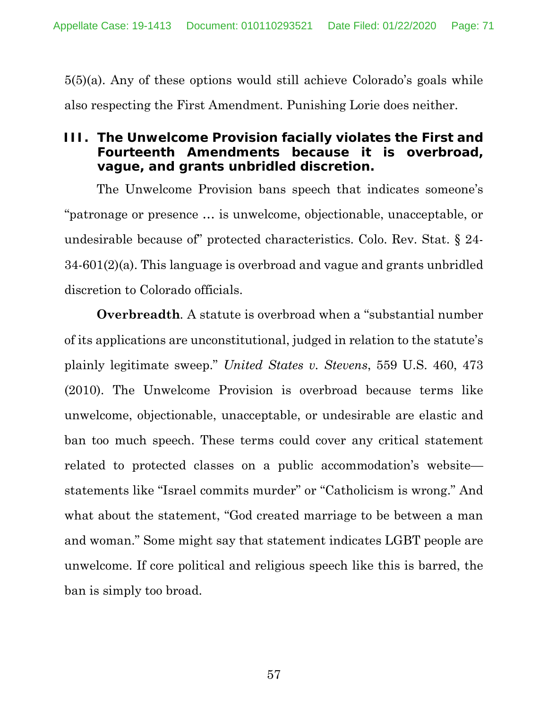5(5)(a). Any of these options would still achieve Colorado's goals while also respecting the First Amendment. Punishing Lorie does neither.

## **III. The Unwelcome Provision facially violates the First and Fourteenth Amendments because it is overbroad, vague, and grants unbridled discretion.**

The Unwelcome Provision bans speech that indicates someone's "patronage or presence … is unwelcome, objectionable, unacceptable, or undesirable because of" protected characteristics. Colo. Rev. Stat. § 24- 34-601(2)(a). This language is overbroad and vague and grants unbridled discretion to Colorado officials.

**Overbreadth***.* A statute is overbroad when a "substantial number of its applications are unconstitutional, judged in relation to the statute's plainly legitimate sweep." *United States v. Stevens*, 559 U.S. 460, 473 (2010). The Unwelcome Provision is overbroad because terms like unwelcome, objectionable, unacceptable, or undesirable are elastic and ban too much speech. These terms could cover any critical statement related to protected classes on a public accommodation's website statements like "Israel commits murder" or "Catholicism is wrong." And what about the statement, "God created marriage to be between a man and woman." Some might say that statement indicates LGBT people are unwelcome. If core political and religious speech like this is barred, the ban is simply too broad.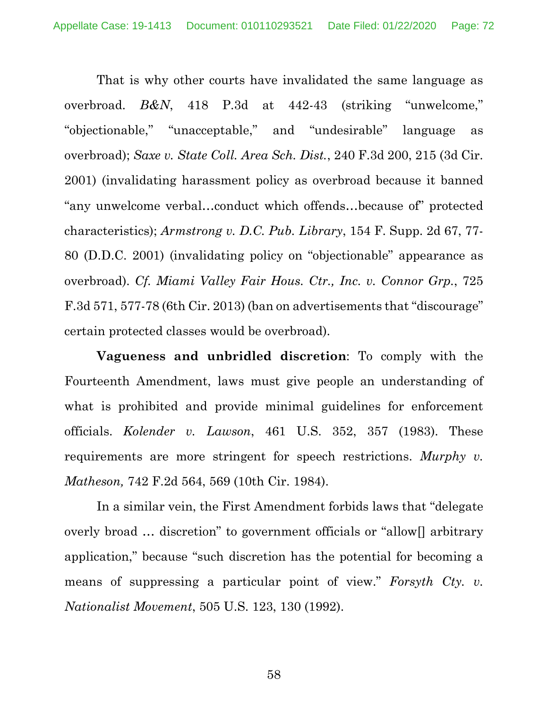That is why other courts have invalidated the same language as overbroad. *B&N*, 418 P.3d at 442-43 (striking "unwelcome," "objectionable," "unacceptable," and "undesirable" language as overbroad); *Saxe v. State Coll. Area Sch. Dist.*, 240 F.3d 200, 215 (3d Cir. 2001) (invalidating harassment policy as overbroad because it banned "any unwelcome verbal…conduct which offends…because of" protected characteristics); *Armstrong v. D.C. Pub. Library*, 154 F. Supp. 2d 67, 77- 80 (D.D.C. 2001) (invalidating policy on "objectionable" appearance as overbroad). *Cf. Miami Valley Fair Hous. Ctr., Inc. v. Connor Grp.*, 725 F.3d 571, 577-78 (6th Cir. 2013) (ban on advertisements that "discourage" certain protected classes would be overbroad).

**Vagueness and unbridled discretion**: To comply with the Fourteenth Amendment, laws must give people an understanding of what is prohibited and provide minimal guidelines for enforcement officials. *Kolender v. Lawson*, 461 U.S. 352, 357 (1983). These requirements are more stringent for speech restrictions. *Murphy v. Matheson,* 742 F.2d 564, 569 (10th Cir. 1984).

In a similar vein, the First Amendment forbids laws that "delegate overly broad … discretion" to government officials or "allow[] arbitrary application," because "such discretion has the potential for becoming a means of suppressing a particular point of view." *Forsyth Cty. v. Nationalist Movement*, 505 U.S. 123, 130 (1992).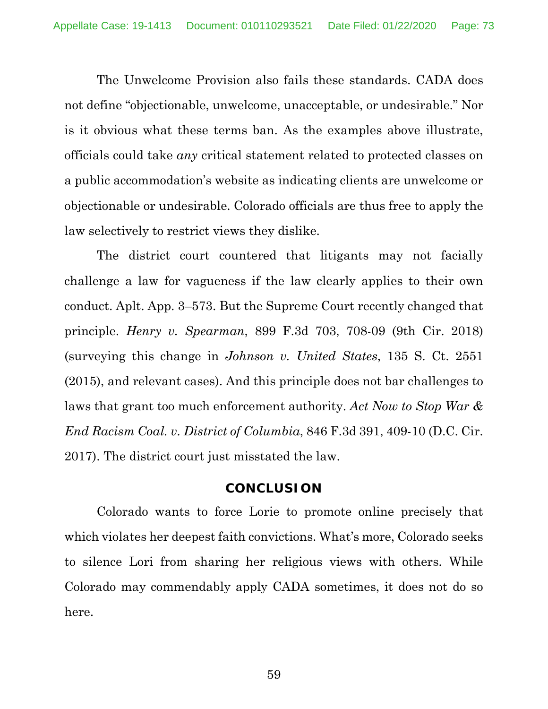The Unwelcome Provision also fails these standards. CADA does not define "objectionable, unwelcome, unacceptable, or undesirable." Nor is it obvious what these terms ban. As the examples above illustrate, officials could take *any* critical statement related to protected classes on a public accommodation's website as indicating clients are unwelcome or objectionable or undesirable. Colorado officials are thus free to apply the law selectively to restrict views they dislike.

The district court countered that litigants may not facially challenge a law for vagueness if the law clearly applies to their own conduct. Aplt. App. 3–573. But the Supreme Court recently changed that principle. *Henry v. Spearman*, 899 F.3d 703, 708-09 (9th Cir. 2018) (surveying this change in *Johnson v. United States*, 135 S. Ct. 2551 (2015), and relevant cases). And this principle does not bar challenges to laws that grant too much enforcement authority. *Act Now to Stop War & End Racism Coal. v. District of Columbia*, 846 F.3d 391, 409-10 (D.C. Cir. 2017). The district court just misstated the law.

## **CONCLUSION**

Colorado wants to force Lorie to promote online precisely that which violates her deepest faith convictions. What's more, Colorado seeks to silence Lori from sharing her religious views with others. While Colorado may commendably apply CADA sometimes, it does not do so here.

59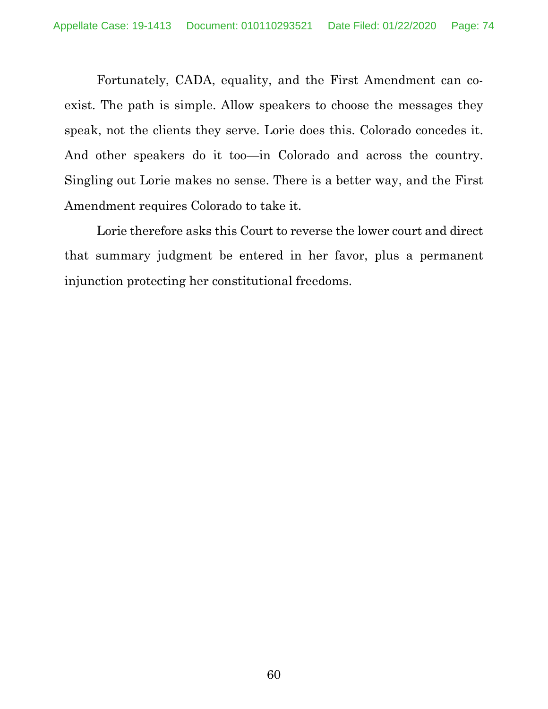Fortunately, CADA, equality, and the First Amendment can coexist. The path is simple. Allow speakers to choose the messages they speak, not the clients they serve. Lorie does this. Colorado concedes it. And other speakers do it too—in Colorado and across the country. Singling out Lorie makes no sense. There is a better way, and the First Amendment requires Colorado to take it.

Lorie therefore asks this Court to reverse the lower court and direct that summary judgment be entered in her favor, plus a permanent injunction protecting her constitutional freedoms.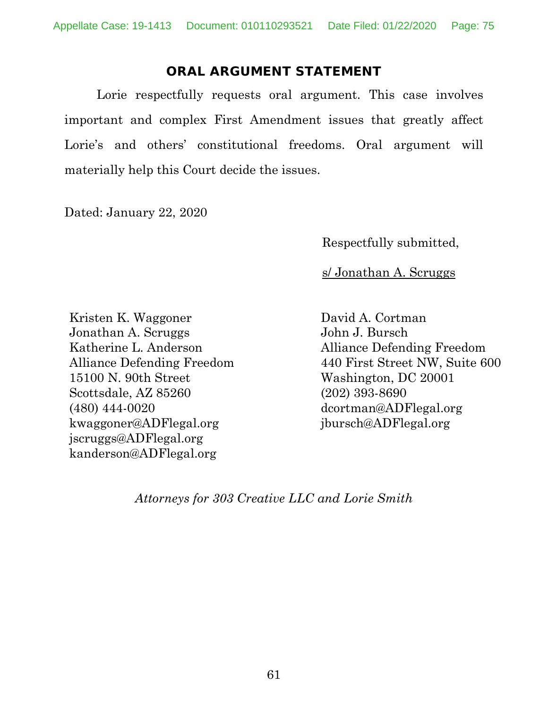## **ORAL ARGUMENT STATEMENT**

Lorie respectfully requests oral argument. This case involves important and complex First Amendment issues that greatly affect Lorie's and others' constitutional freedoms. Oral argument will materially help this Court decide the issues.

Dated: January 22, 2020

Respectfully submitted,

s/ Jonathan A. Scruggs

Kristen K. Waggoner Jonathan A. Scruggs Katherine L. Anderson Alliance Defending Freedom 15100 N. 90th Street Scottsdale, AZ 85260 (480) 444-0020 kwaggoner@ADFlegal.org jscruggs@ADFlegal.org kanderson@ADFlegal.org

David A. Cortman John J. Bursch Alliance Defending Freedom 440 First Street NW, Suite 600 Washington, DC 20001 (202) 393-8690 dcortman@ADFlegal.org jbursch@ADFlegal.org

*Attorneys for 303 Creative LLC and Lorie Smith*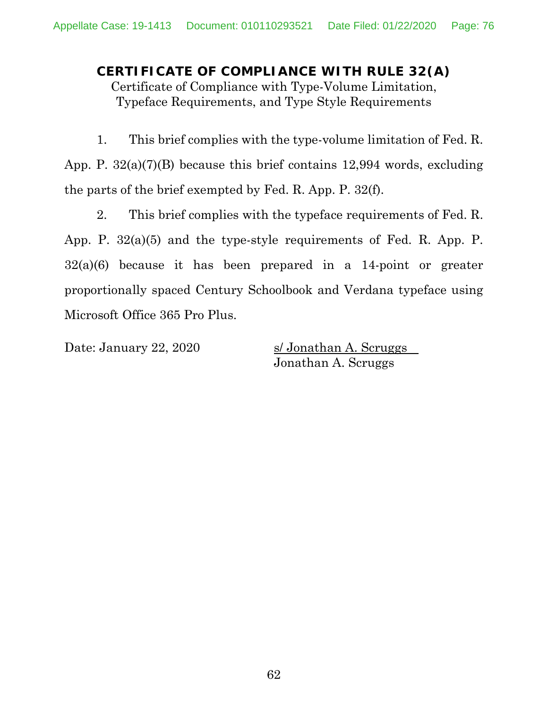**CERTIFICATE OF COMPLIANCE WITH RULE 32(A)** Certificate of Compliance with Type-Volume Limitation, Typeface Requirements, and Type Style Requirements

1. This brief complies with the type-volume limitation of Fed. R. App. P. 32(a)(7)(B) because this brief contains 12,994 words, excluding the parts of the brief exempted by Fed. R. App. P. 32(f).

2. This brief complies with the typeface requirements of Fed. R. App. P. 32(a)(5) and the type-style requirements of Fed. R. App. P. 32(a)(6) because it has been prepared in a 14-point or greater proportionally spaced Century Schoolbook and Verdana typeface using Microsoft Office 365 Pro Plus.

Date: January 22, 2020 s/ Jonathan A. Scruggs Jonathan A. Scruggs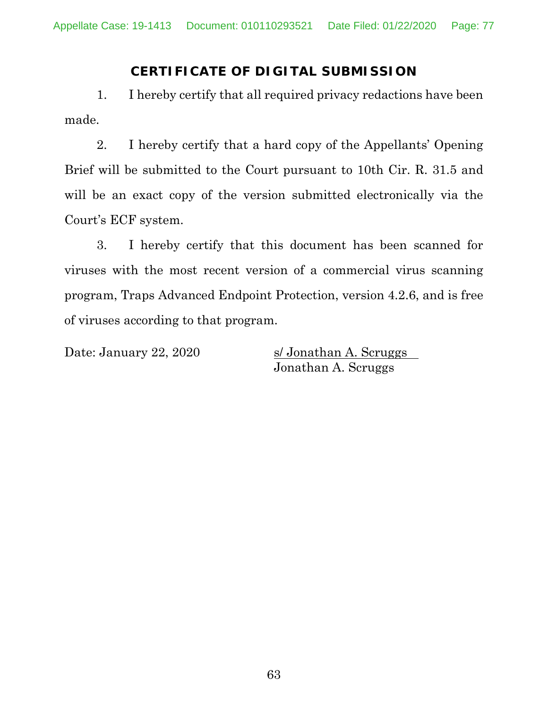## **CERTIFICATE OF DIGITAL SUBMISSION**

1. I hereby certify that all required privacy redactions have been made.

2. I hereby certify that a hard copy of the Appellants' Opening Brief will be submitted to the Court pursuant to 10th Cir. R. 31.5 and will be an exact copy of the version submitted electronically via the Court's ECF system.

3. I hereby certify that this document has been scanned for viruses with the most recent version of a commercial virus scanning program, Traps Advanced Endpoint Protection, version 4.2.6, and is free of viruses according to that program.

Date: January 22, 2020 s/ Jonathan A. Scruggs Jonathan A. Scruggs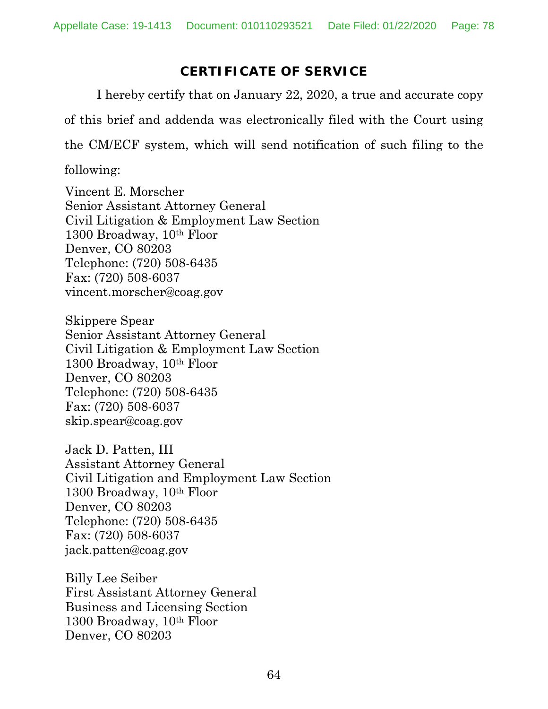## **CERTIFICATE OF SERVICE**

I hereby certify that on January 22, 2020, a true and accurate copy of this brief and addenda was electronically filed with the Court using the CM/ECF system, which will send notification of such filing to the

following:

Vincent E. Morscher Senior Assistant Attorney General Civil Litigation & Employment Law Section 1300 Broadway, 10th Floor Denver, CO 80203 Telephone: (720) 508-6435 Fax: (720) 508-6037 vincent.morscher@coag.gov

Skippere Spear Senior Assistant Attorney General Civil Litigation & Employment Law Section 1300 Broadway, 10th Floor Denver, CO 80203 Telephone: (720) 508-6435 Fax: (720) 508-6037 skip.spear@coag.gov

Jack D. Patten, III Assistant Attorney General Civil Litigation and Employment Law Section 1300 Broadway, 10th Floor Denver, CO 80203 Telephone: (720) 508-6435 Fax: (720) 508-6037 jack.patten@coag.gov

Billy Lee Seiber First Assistant Attorney General Business and Licensing Section 1300 Broadway, 10th Floor Denver, CO 80203